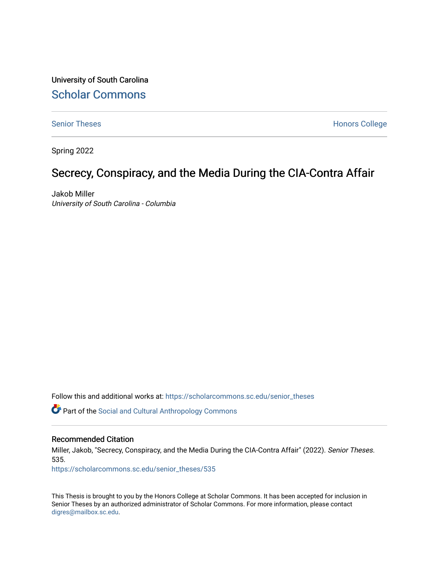University of South Carolina [Scholar Commons](https://scholarcommons.sc.edu/) 

[Senior Theses](https://scholarcommons.sc.edu/senior_theses) **Honors College** Honors College

Spring 2022

# Secrecy, Conspiracy, and the Media During the CIA-Contra Affair

Jakob Miller University of South Carolina - Columbia

Follow this and additional works at: [https://scholarcommons.sc.edu/senior\\_theses](https://scholarcommons.sc.edu/senior_theses?utm_source=scholarcommons.sc.edu%2Fsenior_theses%2F535&utm_medium=PDF&utm_campaign=PDFCoverPages) 

Part of the [Social and Cultural Anthropology Commons](http://network.bepress.com/hgg/discipline/323?utm_source=scholarcommons.sc.edu%2Fsenior_theses%2F535&utm_medium=PDF&utm_campaign=PDFCoverPages) 

#### Recommended Citation

Miller, Jakob, "Secrecy, Conspiracy, and the Media During the CIA-Contra Affair" (2022). Senior Theses. 535.

[https://scholarcommons.sc.edu/senior\\_theses/535](https://scholarcommons.sc.edu/senior_theses/535?utm_source=scholarcommons.sc.edu%2Fsenior_theses%2F535&utm_medium=PDF&utm_campaign=PDFCoverPages) 

This Thesis is brought to you by the Honors College at Scholar Commons. It has been accepted for inclusion in Senior Theses by an authorized administrator of Scholar Commons. For more information, please contact [digres@mailbox.sc.edu](mailto:digres@mailbox.sc.edu).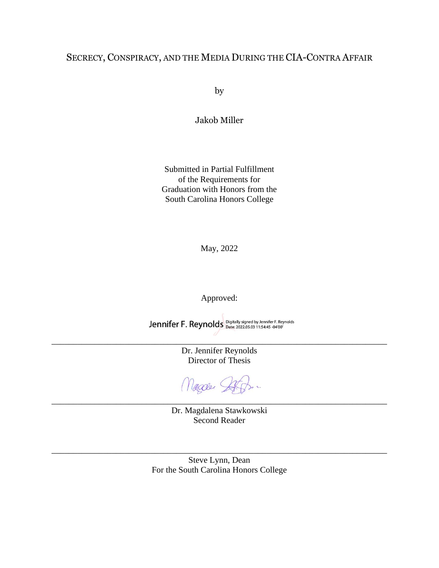## SECRECY, CONSPIRACY, AND THE MEDIA DURING THE CIA-CONTRA AFFAIR

by

Jakob Miller

Submitted in Partial Fulfillment of the Requirements for Graduation with Honors from the South Carolina Honors College

May, 2022

Approved:

Jennifer F. Reynolds Digitally signed by Jennifer F. Reynolds

\_\_\_\_\_\_\_\_\_\_\_\_\_\_\_\_\_\_\_\_\_\_\_\_\_\_\_\_\_\_\_\_\_\_\_\_\_\_\_\_\_\_\_\_\_\_\_\_\_\_\_\_\_\_\_\_\_\_\_\_\_\_\_\_\_\_\_\_\_\_\_\_\_\_\_\_\_\_

Dr. Jennifer Reynolds Director of Thesis

Magae Stof

\_\_\_\_\_\_\_\_\_\_\_\_\_\_\_\_\_\_\_\_\_\_\_\_\_\_\_\_\_\_\_\_\_\_\_\_\_\_\_\_\_\_\_\_\_\_\_\_\_\_\_\_\_\_\_\_\_\_\_\_\_\_\_\_\_\_\_\_\_\_\_\_\_\_\_\_\_\_

Dr. Magdalena Stawkowski Second Reader

Steve Lynn, Dean For the South Carolina Honors College

\_\_\_\_\_\_\_\_\_\_\_\_\_\_\_\_\_\_\_\_\_\_\_\_\_\_\_\_\_\_\_\_\_\_\_\_\_\_\_\_\_\_\_\_\_\_\_\_\_\_\_\_\_\_\_\_\_\_\_\_\_\_\_\_\_\_\_\_\_\_\_\_\_\_\_\_\_\_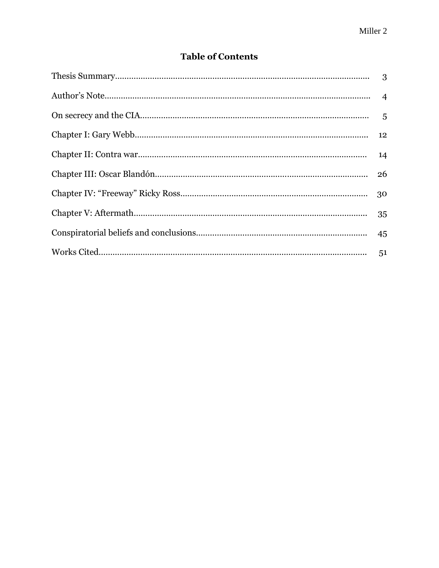## **Table of Contents**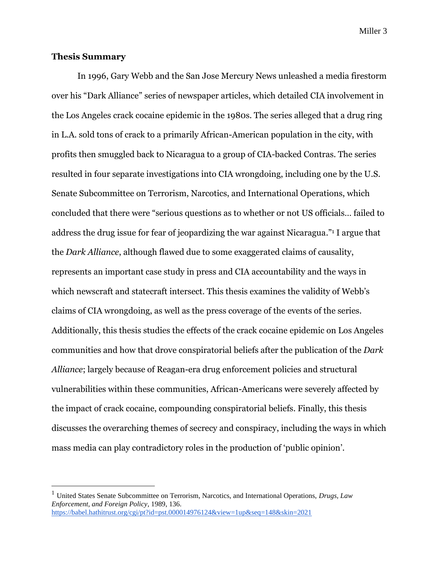### **Thesis Summary**

In 1996, Gary Webb and the San Jose Mercury News unleashed a media firestorm over his "Dark Alliance" series of newspaper articles, which detailed CIA involvement in the Los Angeles crack cocaine epidemic in the 1980s. The series alleged that a drug ring in L.A. sold tons of crack to a primarily African-American population in the city, with profits then smuggled back to Nicaragua to a group of CIA-backed Contras. The series resulted in four separate investigations into CIA wrongdoing, including one by the U.S. Senate Subcommittee on Terrorism, Narcotics, and International Operations, which concluded that there were "serious questions as to whether or not US officials… failed to address the drug issue for fear of jeopardizing the war against Nicaragua." <sup>1</sup> I argue that the *Dark Alliance*, although flawed due to some exaggerated claims of causality, represents an important case study in press and CIA accountability and the ways in which newscraft and statecraft intersect. This thesis examines the validity of Webb's claims of CIA wrongdoing, as well as the press coverage of the events of the series. Additionally, this thesis studies the effects of the crack cocaine epidemic on Los Angeles communities and how that drove conspiratorial beliefs after the publication of the *Dark Alliance*; largely because of Reagan-era drug enforcement policies and structural vulnerabilities within these communities, African-Americans were severely affected by the impact of crack cocaine, compounding conspiratorial beliefs. Finally, this thesis discusses the overarching themes of secrecy and conspiracy, including the ways in which mass media can play contradictory roles in the production of 'public opinion'.

<sup>1</sup> United States Senate Subcommittee on Terrorism, Narcotics, and International Operations, *Drugs, Law Enforcement, and Foreign Policy*, 1989, 136. <https://babel.hathitrust.org/cgi/pt?id=pst.000014976124&view=1up&seq=148&skin=2021>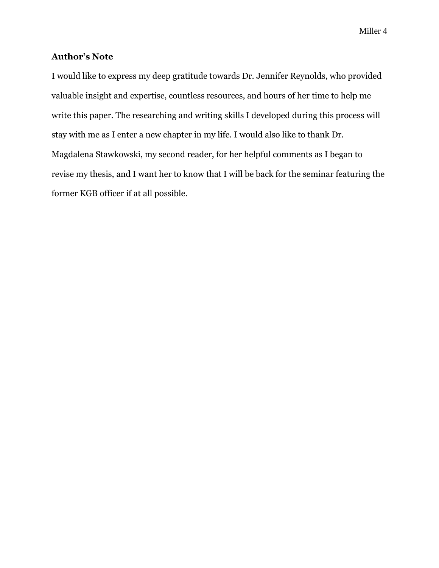## **Author's Note**

I would like to express my deep gratitude towards Dr. Jennifer Reynolds, who provided valuable insight and expertise, countless resources, and hours of her time to help me write this paper. The researching and writing skills I developed during this process will stay with me as I enter a new chapter in my life. I would also like to thank Dr. Magdalena Stawkowski, my second reader, for her helpful comments as I began to revise my thesis, and I want her to know that I will be back for the seminar featuring the former KGB officer if at all possible.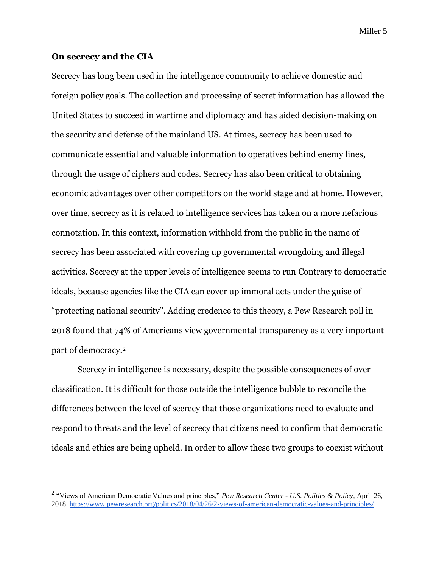#### **On secrecy and the CIA**

Secrecy has long been used in the intelligence community to achieve domestic and foreign policy goals. The collection and processing of secret information has allowed the United States to succeed in wartime and diplomacy and has aided decision-making on the security and defense of the mainland US. At times, secrecy has been used to communicate essential and valuable information to operatives behind enemy lines, through the usage of ciphers and codes. Secrecy has also been critical to obtaining economic advantages over other competitors on the world stage and at home. However, over time, secrecy as it is related to intelligence services has taken on a more nefarious connotation. In this context, information withheld from the public in the name of secrecy has been associated with covering up governmental wrongdoing and illegal activities. Secrecy at the upper levels of intelligence seems to run Contrary to democratic ideals, because agencies like the CIA can cover up immoral acts under the guise of "protecting national security". Adding credence to this theory, a Pew Research poll in 2018 found that 74% of Americans view governmental transparency as a very important part of democracy.<sup>2</sup>

Secrecy in intelligence is necessary, despite the possible consequences of overclassification. It is difficult for those outside the intelligence bubble to reconcile the differences between the level of secrecy that those organizations need to evaluate and respond to threats and the level of secrecy that citizens need to confirm that democratic ideals and ethics are being upheld. In order to allow these two groups to coexist without

<sup>2</sup> "Views of American Democratic Values and principles," *Pew Research Center - U.S. Politics & Policy*, April 26, 2018.<https://www.pewresearch.org/politics/2018/04/26/2-views-of-american-democratic-values-and-principles/>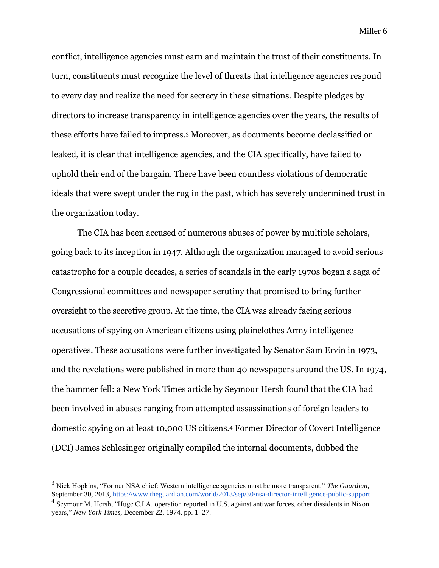conflict, intelligence agencies must earn and maintain the trust of their constituents. In turn, constituents must recognize the level of threats that intelligence agencies respond to every day and realize the need for secrecy in these situations. Despite pledges by directors to increase transparency in intelligence agencies over the years, the results of these efforts have failed to impress.<sup>3</sup> Moreover, as documents become declassified or leaked, it is clear that intelligence agencies, and the CIA specifically, have failed to uphold their end of the bargain. There have been countless violations of democratic ideals that were swept under the rug in the past, which has severely undermined trust in the organization today.

The CIA has been accused of numerous abuses of power by multiple scholars, going back to its inception in 1947. Although the organization managed to avoid serious catastrophe for a couple decades, a series of scandals in the early 1970s began a saga of Congressional committees and newspaper scrutiny that promised to bring further oversight to the secretive group. At the time, the CIA was already facing serious accusations of spying on American citizens using plainclothes Army intelligence operatives. These accusations were further investigated by Senator Sam Ervin in 1973, and the revelations were published in more than 40 newspapers around the US. In 1974, the hammer fell: a New York Times article by Seymour Hersh found that the CIA had been involved in abuses ranging from attempted assassinations of foreign leaders to domestic spying on at least 10,000 US citizens.<sup>4</sup> Former Director of Covert Intelligence (DCI) James Schlesinger originally compiled the internal documents, dubbed the

<sup>3</sup> Nick Hopkins, "Former NSA chief: Western intelligence agencies must be more transparent," *The Guardian*, September 30, 2013,<https://www.theguardian.com/world/2013/sep/30/nsa-director-intelligence-public-support>

<sup>&</sup>lt;sup>4</sup> Seymour M. Hersh, "Huge C.I.A. operation reported in U.S. against antiwar forces, other dissidents in Nixon years," *New York Times*, December 22, 1974, pp. 1–27.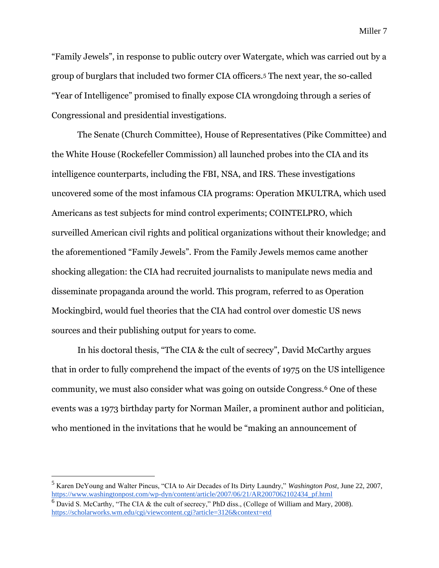"Family Jewels", in response to public outcry over Watergate, which was carried out by a group of burglars that included two former CIA officers.<sup>5</sup> The next year, the so-called "Year of Intelligence" promised to finally expose CIA wrongdoing through a series of Congressional and presidential investigations.

The Senate (Church Committee), House of Representatives (Pike Committee) and the White House (Rockefeller Commission) all launched probes into the CIA and its intelligence counterparts, including the FBI, NSA, and IRS. These investigations uncovered some of the most infamous CIA programs: Operation MKULTRA, which used Americans as test subjects for mind control experiments; COINTELPRO, which surveilled American civil rights and political organizations without their knowledge; and the aforementioned "Family Jewels". From the Family Jewels memos came another shocking allegation: the CIA had recruited journalists to manipulate news media and disseminate propaganda around the world. This program, referred to as Operation Mockingbird, would fuel theories that the CIA had control over domestic US news sources and their publishing output for years to come.

In his doctoral thesis, "The CIA & the cult of secrecy", David McCarthy argues that in order to fully comprehend the impact of the events of 1975 on the US intelligence community, we must also consider what was going on outside Congress.<sup>6</sup> One of these events was a 1973 birthday party for Norman Mailer, a prominent author and politician, who mentioned in the invitations that he would be "making an announcement of

<sup>5</sup> Karen DeYoung and Walter Pincus, "CIA to Air Decades of Its Dirty Laundry," *Washington Post*, June 22, 2007, [https://www.washingtonpost.com/wp-dyn/content/article/2007/06/21/AR2007062102434\\_pf.html](https://www.washingtonpost.com/wp-dyn/content/article/2007/06/21/AR2007062102434_pf.html)

 $6$  David S. McCarthy, "The CIA & the cult of secrecy," PhD diss., (College of William and Mary, 2008). <https://scholarworks.wm.edu/cgi/viewcontent.cgi?article=3126&context=etd>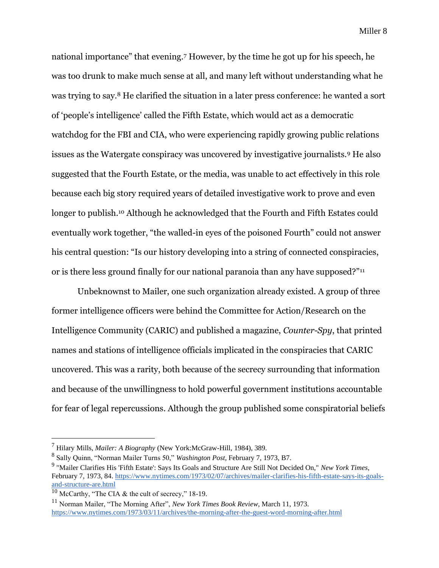national importance" that evening.<sup>7</sup> However, by the time he got up for his speech, he was too drunk to make much sense at all, and many left without understanding what he was trying to say.<sup>8</sup> He clarified the situation in a later press conference: he wanted a sort of 'people's intelligence' called the Fifth Estate, which would act as a democratic watchdog for the FBI and CIA, who were experiencing rapidly growing public relations issues as the Watergate conspiracy was uncovered by investigative journalists.<sup>9</sup> He also suggested that the Fourth Estate, or the media, was unable to act effectively in this role because each big story required years of detailed investigative work to prove and even longer to publish.<sup>10</sup> Although he acknowledged that the Fourth and Fifth Estates could eventually work together, "the walled-in eyes of the poisoned Fourth" could not answer his central question: "Is our history developing into a string of connected conspiracies, or is there less ground finally for our national paranoia than any have supposed?"<sup>11</sup>

Unbeknownst to Mailer, one such organization already existed. A group of three former intelligence officers were behind the Committee for Action/Research on the Intelligence Community (CARIC) and published a magazine, *Counter-Spy*, that printed names and stations of intelligence officials implicated in the conspiracies that CARIC uncovered. This was a rarity, both because of the secrecy surrounding that information and because of the unwillingness to hold powerful government institutions accountable for fear of legal repercussions. Although the group published some conspiratorial beliefs

<sup>7</sup> Hilary Mills, *Mailer: A Biography* (New York:McGraw-Hill, 1984), 389.

<sup>8</sup> Sally Quinn, "Norman Mailer Turns 50," *Washington Post,* February 7, 1973, B7.

<sup>9</sup> "Mailer Clarifies His 'Fifth Estate': Says Its Goals and Structure Are Still Not Decided On," *New York Times*, February 7, 1973, 84[. https://www.nytimes.com/1973/02/07/archives/mailer-clarifies-his-fifth-estate-says-its-goals](https://www.nytimes.com/1973/02/07/archives/mailer-clarifies-his-fifth-estate-says-its-goals-and-structure-are.html)[and-structure-are.html](https://www.nytimes.com/1973/02/07/archives/mailer-clarifies-his-fifth-estate-says-its-goals-and-structure-are.html)

<sup>&</sup>lt;sup>10</sup> McCarthy, "The CIA & the cult of secrecy," 18-19.

<sup>11</sup> Norman Mailer, "The Morning After", *New York Times Book Review*, March 11, 1973. <https://www.nytimes.com/1973/03/11/archives/the-morning-after-the-guest-word-morning-after.html>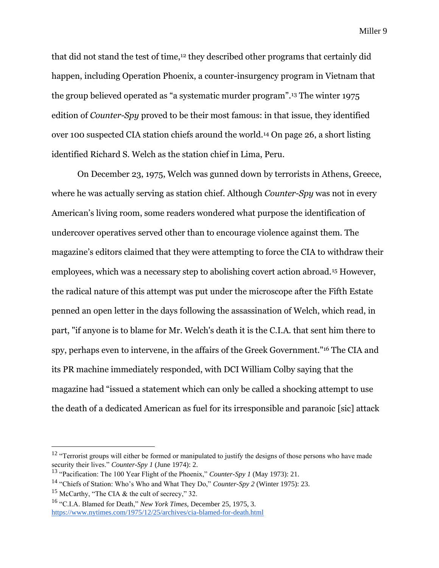that did not stand the test of time,<sup>12</sup> they described other programs that certainly did happen, including Operation Phoenix, a counter-insurgency program in Vietnam that the group believed operated as "a systematic murder program".<sup>13</sup> The winter 1975 edition of *Counter-Spy* proved to be their most famous: in that issue, they identified over 100 suspected CIA station chiefs around the world.<sup>14</sup> On page 26, a short listing identified Richard S. Welch as the station chief in Lima, Peru.

On December 23, 1975, Welch was gunned down by terrorists in Athens, Greece, where he was actually serving as station chief. Although *Counter-Spy* was not in every American's living room, some readers wondered what purpose the identification of undercover operatives served other than to encourage violence against them. The magazine's editors claimed that they were attempting to force the CIA to withdraw their employees, which was a necessary step to abolishing covert action abroad.<sup>15</sup> However, the radical nature of this attempt was put under the microscope after the Fifth Estate penned an open letter in the days following the assassination of Welch, which read, in part, "if anyone is to blame for Mr. Welch's death it is the C.I.A. that sent him there to spy, perhaps even to intervene, in the affairs of the Greek Government."<sup>16</sup> The CIA and its PR machine immediately responded, with DCI William Colby saying that the magazine had "issued a statement which can only be called a shocking attempt to use the death of a dedicated American as fuel for its irresponsible and paranoic [sic] attack

 $12$  "Terrorist groups will either be formed or manipulated to justify the designs of those persons who have made security their lives." *Counter-Spy 1* (June 1974): 2.

<sup>13</sup> "Pacification: The 100 Year Flight of the Phoenix," *Counter-Spy 1* (May 1973): 21.

<sup>14</sup> "Chiefs of Station: Who's Who and What They Do," *Counter-Spy 2* (Winter 1975): 23.

<sup>&</sup>lt;sup>15</sup> McCarthy, "The CIA & the cult of secrecy," 32.

<sup>16</sup> "C.I.A. Blamed for Death," *New York Times,* December 25, 1975, 3. <https://www.nytimes.com/1975/12/25/archives/cia-blamed-for-death.html>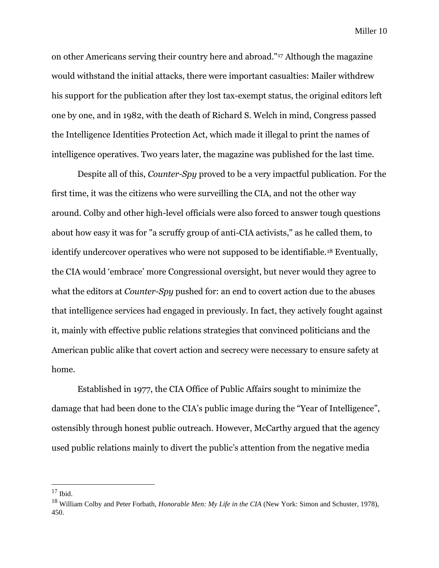on other Americans serving their country here and abroad."<sup>17</sup> Although the magazine would withstand the initial attacks, there were important casualties: Mailer withdrew his support for the publication after they lost tax-exempt status, the original editors left one by one, and in 1982, with the death of Richard S. Welch in mind, Congress passed the Intelligence Identities Protection Act, which made it illegal to print the names of intelligence operatives. Two years later, the magazine was published for the last time.

Despite all of this, *Counter-Spy* proved to be a very impactful publication. For the first time, it was the citizens who were surveilling the CIA, and not the other way around. Colby and other high-level officials were also forced to answer tough questions about how easy it was for "a scruffy group of anti-CIA activists," as he called them, to identify undercover operatives who were not supposed to be identifiable.<sup>18</sup> Eventually, the CIA would 'embrace' more Congressional oversight, but never would they agree to what the editors at *Counter-Spy* pushed for: an end to covert action due to the abuses that intelligence services had engaged in previously. In fact, they actively fought against it, mainly with effective public relations strategies that convinced politicians and the American public alike that covert action and secrecy were necessary to ensure safety at home.

Established in 1977, the CIA Office of Public Affairs sought to minimize the damage that had been done to the CIA's public image during the "Year of Intelligence", ostensibly through honest public outreach. However, McCarthy argued that the agency used public relations mainly to divert the public's attention from the negative media

 $17$  Ibid.

<sup>18</sup> William Colby and Peter Forbath, *Honorable Men: My Life in the CIA* (New York: Simon and Schuster, 1978), 450.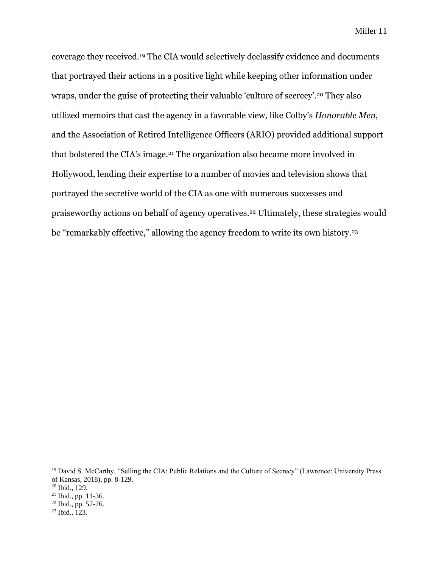coverage they received.<sup>19</sup> The CIA would selectively declassify evidence and documents that portrayed their actions in a positive light while keeping other information under wraps, under the guise of protecting their valuable 'culture of secrecy'.<sup>20</sup> They also utilized memoirs that cast the agency in a favorable view, like Colby's *Honorable Men*, and the Association of Retired Intelligence Officers (ARIO) provided additional support that bolstered the CIA's image.<sup>21</sup> The organization also became more involved in Hollywood, lending their expertise to a number of movies and television shows that portrayed the secretive world of the CIA as one with numerous successes and praiseworthy actions on behalf of agency operatives.<sup>22</sup> Ultimately, these strategies would be "remarkably effective," allowing the agency freedom to write its own history.<sup>23</sup>

<sup>&</sup>lt;sup>19</sup> David S. McCarthy, "Selling the CIA: Public Relations and the Culture of Secrecy" (Lawrence: University Press of Kansas, 2018), pp. 8-129.

<sup>20</sup> Ibid., 129.

<sup>21</sup> Ibid., pp. 11-36.

<sup>22</sup> Ibid., pp. 57-76.

 $23$  Ibid.,  $123$ .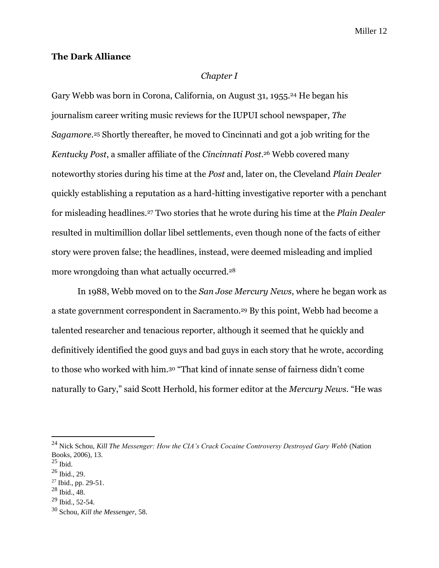#### **The Dark Alliance**

#### *Chapter I*

Gary Webb was born in Corona, California, on August 31, 1955.<sup>24</sup> He began his journalism career writing music reviews for the IUPUI school newspaper, *The Sagamore*. <sup>25</sup> Shortly thereafter, he moved to Cincinnati and got a job writing for the *Kentucky Post*, a smaller affiliate of the *Cincinnati Post*. <sup>26</sup> Webb covered many noteworthy stories during his time at the *Post* and, later on, the Cleveland *Plain Dealer* quickly establishing a reputation as a hard-hitting investigative reporter with a penchant for misleading headlines.<sup>27</sup> Two stories that he wrote during his time at the *Plain Dealer* resulted in multimillion dollar libel settlements, even though none of the facts of either story were proven false; the headlines, instead, were deemed misleading and implied more wrongdoing than what actually occurred.<sup>28</sup>

In 1988, Webb moved on to the *San Jose Mercury News*, where he began work as a state government correspondent in Sacramento.<sup>29</sup> By this point, Webb had become a talented researcher and tenacious reporter, although it seemed that he quickly and definitively identified the good guys and bad guys in each story that he wrote, according to those who worked with him. <sup>30</sup> "That kind of innate sense of fairness didn't come naturally to Gary," said Scott Herhold, his former editor at the *Mercury News*. "He was

<sup>24</sup> Nick Schou, *Kill The Messenger: How the CIA's Crack Cocaine Controversy Destroyed Gary Webb* (Nation Books, 2006), 13.

 $^{25}$  Ibid.

 $26$  Ibid., 29.

<sup>27</sup> Ibid., pp. 29-51.

 $^{28}$  Ibid., 48.

<sup>29</sup> Ibid., 52-54.

<sup>30</sup> Schou, *Kill the Messenger*, 58.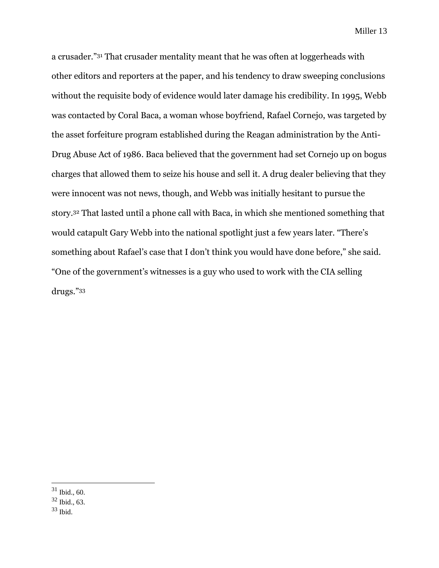a crusader."<sup>31</sup> That crusader mentality meant that he was often at loggerheads with other editors and reporters at the paper, and his tendency to draw sweeping conclusions without the requisite body of evidence would later damage his credibility. In 1995, Webb was contacted by Coral Baca, a woman whose boyfriend, Rafael Cornejo, was targeted by the asset forfeiture program established during the Reagan administration by the Anti-Drug Abuse Act of 1986. Baca believed that the government had set Cornejo up on bogus charges that allowed them to seize his house and sell it. A drug dealer believing that they were innocent was not news, though, and Webb was initially hesitant to pursue the story.<sup>32</sup> That lasted until a phone call with Baca, in which she mentioned something that would catapult Gary Webb into the national spotlight just a few years later. "There's something about Rafael's case that I don't think you would have done before," she said. "One of the government's witnesses is a guy who used to work with the CIA selling drugs."<sup>33</sup>

 $31$  Ibid., 60.

<sup>32</sup> Ibid., 63.

<sup>33</sup> Ibid.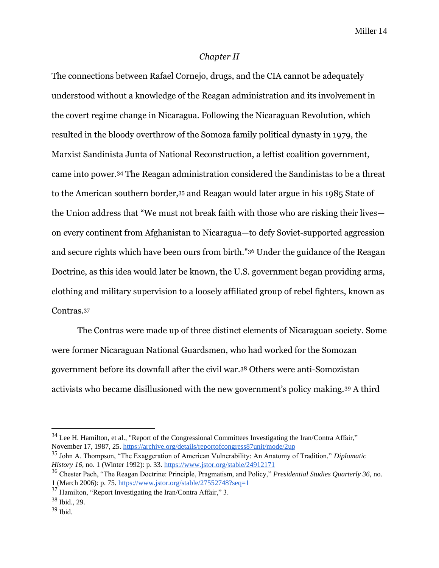#### *Chapter II*

The connections between Rafael Cornejo, drugs, and the CIA cannot be adequately understood without a knowledge of the Reagan administration and its involvement in the covert regime change in Nicaragua. Following the Nicaraguan Revolution, which resulted in the bloody overthrow of the Somoza family political dynasty in 1979, the Marxist Sandinista Junta of National Reconstruction, a leftist coalition government, came into power.<sup>34</sup> The Reagan administration considered the Sandinistas to be a threat to the American southern border,<sup>35</sup> and Reagan would later argue in his 1985 State of the Union address that "We must not break faith with those who are risking their lives on every continent from Afghanistan to Nicaragua—to defy Soviet-supported aggression and secure rights which have been ours from birth."<sup>36</sup> Under the guidance of the Reagan Doctrine, as this idea would later be known, the U.S. government began providing arms, clothing and military supervision to a loosely affiliated group of rebel fighters, known as Contras.<sup>37</sup>

The Contras were made up of three distinct elements of Nicaraguan society. Some were former Nicaraguan National Guardsmen, who had worked for the Somozan government before its downfall after the civil war.<sup>38</sup> Others were anti-Somozistan activists who became disillusioned with the new government's policy making.<sup>39</sup> A third

 $34$  Lee H. Hamilton, et al., "Report of the Congressional Committees Investigating the Iran/Contra Affair," November 17, 1987, 25[. https://archive.org/details/reportofcongress87unit/mode/2up](https://archive.org/details/reportofcongress87unit/mode/2up)

<sup>35</sup> John A. Thompson, "The Exaggeration of American Vulnerability: An Anatomy of Tradition," *Diplomatic History 16,* no. 1 (Winter 1992): p. 33.<https://www.jstor.org/stable/24912171>

<sup>36</sup> Chester Pach, "The Reagan Doctrine: Principle, Pragmatism, and Policy," *Presidential Studies Quarterly 36,* no. 1 (March 2006): p. 75.<https://www.jstor.org/stable/27552748?seq=1>

 $37$  Hamilton, "Report Investigating the Iran/Contra Affair," 3.

<sup>38</sup> Ibid., 29.

 $39$  Ibid.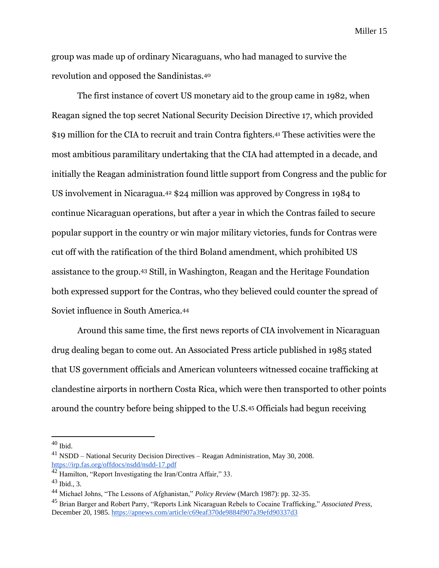group was made up of ordinary Nicaraguans, who had managed to survive the revolution and opposed the Sandinistas.<sup>40</sup>

The first instance of covert US monetary aid to the group came in 1982, when Reagan signed the top secret National Security Decision Directive 17, which provided \$19 million for the CIA to recruit and train Contra fighters.<sup>41</sup> These activities were the most ambitious paramilitary undertaking that the CIA had attempted in a decade, and initially the Reagan administration found little support from Congress and the public for US involvement in Nicaragua.<sup>42</sup> \$24 million was approved by Congress in 1984 to continue Nicaraguan operations, but after a year in which the Contras failed to secure popular support in the country or win major military victories, funds for Contras were cut off with the ratification of the third Boland amendment, which prohibited US assistance to the group.<sup>43</sup> Still, in Washington, Reagan and the Heritage Foundation both expressed support for the Contras, who they believed could counter the spread of Soviet influence in South America.<sup>44</sup>

Around this same time, the first news reports of CIA involvement in Nicaraguan drug dealing began to come out. An Associated Press article published in 1985 stated that US government officials and American volunteers witnessed cocaine trafficking at clandestine airports in northern Costa Rica, which were then transported to other points around the country before being shipped to the U.S.<sup>45</sup> Officials had begun receiving

 $^{40}$  Ibid.

<sup>41</sup> NSDD – National Security Decision Directives – Reagan Administration, May 30, 2008. <https://irp.fas.org/offdocs/nsdd/nsdd-17.pdf>

<sup>42</sup> Hamilton, "Report Investigating the Iran/Contra Affair," 33.

 $43$  Ibid., 3.

<sup>44</sup> Michael Johns, "The Lessons of Afghanistan," *Policy Review* (March 1987): pp. 32-35.

<sup>45</sup> Brian Barger and Robert Parry, "Reports Link Nicaraguan Rebels to Cocaine Trafficking," *Associated Press,*  December 20, 1985[. https://apnews.com/article/c69eaf370de9884f907a39efd90337d3](https://apnews.com/article/c69eaf370de9884f907a39efd90337d3)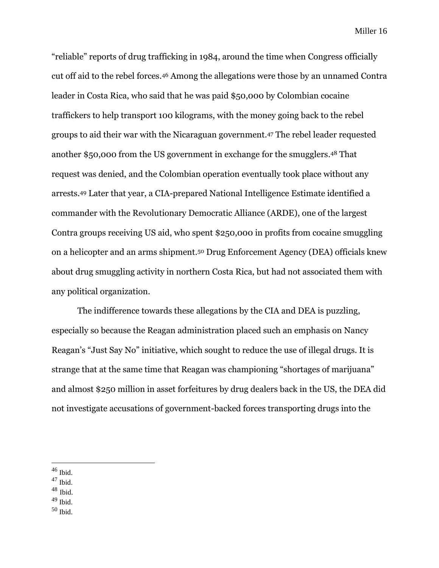"reliable" reports of drug trafficking in 1984, around the time when Congress officially cut off aid to the rebel forces.<sup>46</sup> Among the allegations were those by an unnamed Contra leader in Costa Rica, who said that he was paid \$50,000 by Colombian cocaine traffickers to help transport 100 kilograms, with the money going back to the rebel groups to aid their war with the Nicaraguan government.<sup>47</sup> The rebel leader requested another \$50,000 from the US government in exchange for the smugglers. <sup>48</sup> That request was denied, and the Colombian operation eventually took place without any arrests.<sup>49</sup> Later that year, a CIA-prepared National Intelligence Estimate identified a commander with the Revolutionary Democratic Alliance (ARDE), one of the largest Contra groups receiving US aid, who spent \$250,000 in profits from cocaine smuggling on a helicopter and an arms shipment.<sup>50</sup> Drug Enforcement Agency (DEA) officials knew about drug smuggling activity in northern Costa Rica, but had not associated them with any political organization.

The indifference towards these allegations by the CIA and DEA is puzzling, especially so because the Reagan administration placed such an emphasis on Nancy Reagan's "Just Say No" initiative, which sought to reduce the use of illegal drugs. It is strange that at the same time that Reagan was championing "shortages of marijuana" and almost \$250 million in asset forfeitures by drug dealers back in the US, the DEA did not investigate accusations of government-backed forces transporting drugs into the

- <sup>47</sup> Ibid.
- <sup>48</sup> Ibid.
- $49$  Ibid.
- $50$  Ibid.

 $46$  Ibid.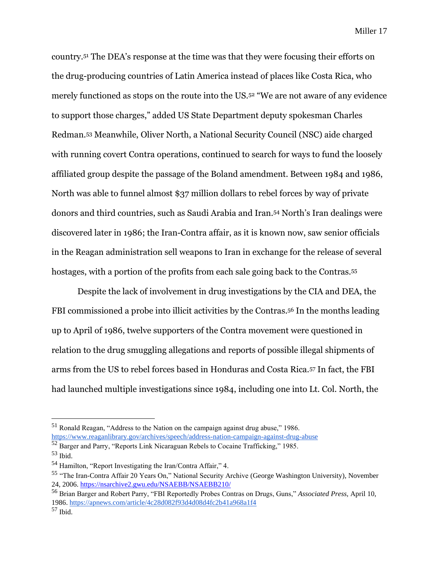country.<sup>51</sup> The DEA's response at the time was that they were focusing their efforts on the drug-producing countries of Latin America instead of places like Costa Rica, who merely functioned as stops on the route into the US.<sup>52</sup> "We are not aware of any evidence to support those charges," added US State Department deputy spokesman Charles Redman.<sup>53</sup> Meanwhile, Oliver North, a National Security Council (NSC) aide charged with running covert Contra operations, continued to search for ways to fund the loosely affiliated group despite the passage of the Boland amendment. Between 1984 and 1986, North was able to funnel almost \$37 million dollars to rebel forces by way of private donors and third countries, such as Saudi Arabia and Iran. <sup>54</sup> North's Iran dealings were discovered later in 1986; the Iran-Contra affair, as it is known now, saw senior officials in the Reagan administration sell weapons to Iran in exchange for the release of several hostages, with a portion of the profits from each sale going back to the Contras.<sup>55</sup>

Despite the lack of involvement in drug investigations by the CIA and DEA, the FBI commissioned a probe into illicit activities by the Contras.<sup>56</sup> In the months leading up to April of 1986, twelve supporters of the Contra movement were questioned in relation to the drug smuggling allegations and reports of possible illegal shipments of arms from the US to rebel forces based in Honduras and Costa Rica.<sup>57</sup> In fact, the FBI had launched multiple investigations since 1984, including one into Lt. Col. North, the

<sup>51</sup> Ronald Reagan, "Address to the Nation on the campaign against drug abuse," 1986. <https://www.reaganlibrary.gov/archives/speech/address-nation-campaign-against-drug-abuse>

<sup>52</sup> Barger and Parry, "Reports Link Nicaraguan Rebels to Cocaine Trafficking," 1985.  $53$  Ibid.

<sup>54</sup> Hamilton, "Report Investigating the Iran/Contra Affair," 4.

<sup>55</sup> "The Iran-Contra Affair 20 Years On," National Security Archive (George Washington University), November 24, 2006.<https://nsarchive2.gwu.edu/NSAEBB/NSAEBB210/>

<sup>56</sup> Brian Barger and Robert Parry, "FBI Reportedly Probes Contras on Drugs, Guns," *Associated Press,* April 10, 1986.<https://apnews.com/article/4c28d082f93d4d08d4fc2b41a968a1f4>

<sup>57</sup> Ibid.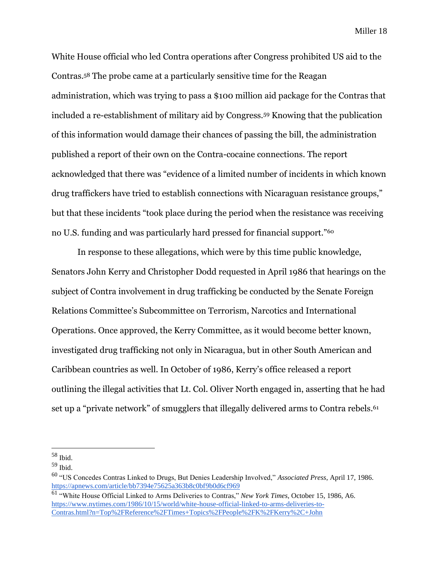White House official who led Contra operations after Congress prohibited US aid to the Contras.<sup>58</sup> The probe came at a particularly sensitive time for the Reagan administration, which was trying to pass a \$100 million aid package for the Contras that included a re-establishment of military aid by Congress.<sup>59</sup> Knowing that the publication of this information would damage their chances of passing the bill, the administration published a report of their own on the Contra-cocaine connections. The report acknowledged that there was "evidence of a limited number of incidents in which known drug traffickers have tried to establish connections with Nicaraguan resistance groups," but that these incidents "took place during the period when the resistance was receiving no U.S. funding and was particularly hard pressed for financial support."<sup>60</sup>

In response to these allegations, which were by this time public knowledge, Senators John Kerry and Christopher Dodd requested in April 1986 that hearings on the subject of Contra involvement in drug trafficking be conducted by the Senate Foreign Relations Committee's Subcommittee on Terrorism, Narcotics and International Operations. Once approved, the Kerry Committee, as it would become better known, investigated drug trafficking not only in Nicaragua, but in other South American and Caribbean countries as well. In October of 1986, Kerry's office released a report outlining the illegal activities that Lt. Col. Oliver North engaged in, asserting that he had set up a "private network" of smugglers that illegally delivered arms to Contra rebels.<sup>61</sup>

<sup>58</sup> Ibid.

<sup>59</sup> Ibid.

<sup>60</sup> "US Concedes Contras Linked to Drugs, But Denies Leadership Involved," *Associated Press*, April 17, 1986. <https://apnews.com/article/bb7394e75625a363b8c0bf9b0d6cf969>

<sup>61</sup> "White House Official Linked to Arms Deliveries to Contras," *New York Times*, October 15, 1986, A6. [https://www.nytimes.com/1986/10/15/world/white-house-official-linked-to-arms-deliveries-to-](https://www.nytimes.com/1986/10/15/world/white-house-official-linked-to-arms-deliveries-to-contras.html?n=Top%2FReference%2FTimes+Topics%2FPeople%2FK%2FKerry%2C+John)[Contras.html?n=Top%2FReference%2FTimes+Topics%2FPeople%2FK%2FKerry%2C+John](https://www.nytimes.com/1986/10/15/world/white-house-official-linked-to-arms-deliveries-to-contras.html?n=Top%2FReference%2FTimes+Topics%2FPeople%2FK%2FKerry%2C+John)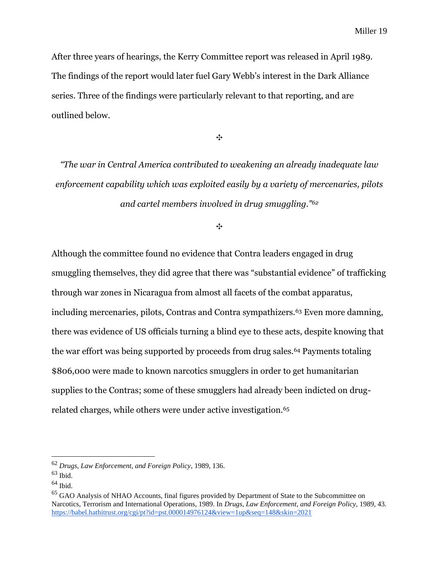After three years of hearings, the Kerry Committee report was released in April 1989. The findings of the report would later fuel Gary Webb's interest in the Dark Alliance series. Three of the findings were particularly relevant to that reporting, and are outlined below.

✥

*"The war in Central America contributed to weakening an already inadequate law enforcement capability which was exploited easily by a variety of mercenaries, pilots and cartel members involved in drug smuggling."<sup>62</sup>*

✥

Although the committee found no evidence that Contra leaders engaged in drug smuggling themselves, they did agree that there was "substantial evidence" of trafficking through war zones in Nicaragua from almost all facets of the combat apparatus, including mercenaries, pilots, Contras and Contra sympathizers.<sup>63</sup> Even more damning, there was evidence of US officials turning a blind eye to these acts, despite knowing that the war effort was being supported by proceeds from drug sales.<sup>64</sup> Payments totaling \$806,000 were made to known narcotics smugglers in order to get humanitarian supplies to the Contras; some of these smugglers had already been indicted on drugrelated charges, while others were under active investigation.<sup>65</sup>

<sup>62</sup> *Drugs, Law Enforcement, and Foreign Policy*, 1989, 136.

 $63$  Ibid.

 $64$  Ibid.

<sup>&</sup>lt;sup>65</sup> GAO Analysis of NHAO Accounts, final figures provided by Department of State to the Subcommittee on Narcotics, Terrorism and International Operations, 1989. In *Drugs, Law Enforcement, and Foreign Policy,* 1989, 43*.*  <https://babel.hathitrust.org/cgi/pt?id=pst.000014976124&view=1up&seq=148&skin=2021>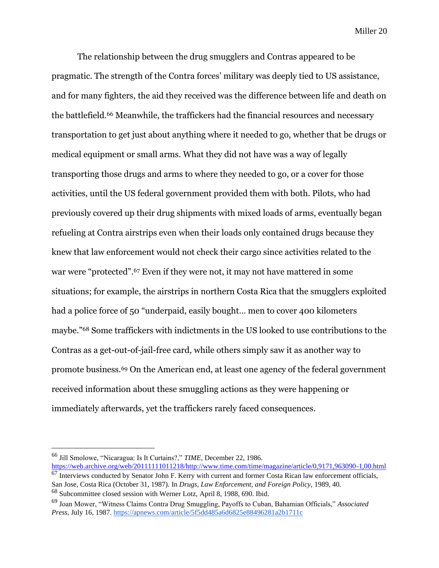The relationship between the drug smugglers and Contras appeared to be pragmatic. The strength of the Contra forces' military was deeply tied to US assistance, and for many fighters, the aid they received was the difference between life and death on the battlefield.<sup>66</sup> Meanwhile, the traffickers had the financial resources and necessary transportation to get just about anything where it needed to go, whether that be drugs or medical equipment or small arms. What they did not have was a way of legally transporting those drugs and arms to where they needed to go, or a cover for those activities, until the US federal government provided them with both. Pilots, who had previously covered up their drug shipments with mixed loads of arms, eventually began refueling at Contra airstrips even when their loads only contained drugs because they knew that law enforcement would not check their cargo since activities related to the war were "protected".<sup>67</sup> Even if they were not, it may not have mattered in some situations; for example, the airstrips in northern Costa Rica that the smugglers exploited had a police force of 50 "underpaid, easily bought… men to cover 400 kilometers maybe."<sup>68</sup> Some traffickers with indictments in the US looked to use contributions to the Contras as a get-out-of-jail-free card, while others simply saw it as another way to promote business.<sup>69</sup> On the American end, at least one agency of the federal government received information about these smuggling actions as they were happening or immediately afterwards, yet the traffickers rarely faced consequences.

<sup>66</sup> Jill Smolowe, "Nicaragua: Is It Curtains?," *TIME*, December 22, 1986.

[https://web.archive.org/web/20111111011218/http://www.time.com/time/magazine/article/0,9171,963090-1,00.html](https://web.archive.org/web/20111111011218/http:/www.time.com/time/magazine/article/0,9171,963090-1,00.html) <sup>67</sup> Interviews conducted by Senator John F. Kerry with current and former Costa Rican law enforcement officials, San Jose, Costa Rica (October 31, 1987). In *Drugs, Law Enforcement, and Foreign Policy,* 1989, 40*.* 

<sup>68</sup> Subcommittee closed session with Werner Lotz, April 8, 1988, 690. Ibid.

<sup>69</sup> Joan Mower, "Witness Claims Contra Drug Smuggling, Payoffs to Cuban, Bahamian Officials," *Associated Press,* July 16, 1987.<https://apnews.com/article/5f5dd485a6d6825e88496281a2b1711c>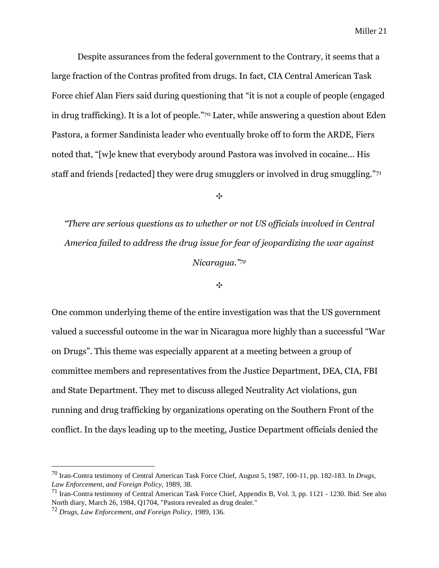Despite assurances from the federal government to the Contrary, it seems that a large fraction of the Contras profited from drugs. In fact, CIA Central American Task Force chief Alan Fiers said during questioning that "it is not a couple of people (engaged in drug trafficking). It is a lot of people."<sup>70</sup> Later, while answering a question about Eden Pastora, a former Sandinista leader who eventually broke off to form the ARDE, Fiers noted that, "[w]e knew that everybody around Pastora was involved in cocaine... His staff and friends [redacted] they were drug smugglers or involved in drug smuggling."<sup>71</sup>

✥

*"There are serious questions as to whether or not US officials involved in Central America failed to address the drug issue for fear of jeopardizing the war against Nicaragua."<sup>72</sup>*

✥

One common underlying theme of the entire investigation was that the US government valued a successful outcome in the war in Nicaragua more highly than a successful "War on Drugs". This theme was especially apparent at a meeting between a group of committee members and representatives from the Justice Department, DEA, CIA, FBI and State Department. They met to discuss alleged Neutrality Act violations, gun running and drug trafficking by organizations operating on the Southern Front of the conflict. In the days leading up to the meeting, Justice Department officials denied the

<sup>70</sup> Iran-Contra testimony of Central American Task Force Chief, August 5, 1987, 100-11, pp. 182-183. In *Drugs, Law Enforcement, and Foreign Policy,* 1989, 38.

<sup>71</sup> Iran-Contra testimony of Central American Task Force Chief, Appendix B, Vol. 3, pp. 1121 - 1230. Ibid. See also North diary, March 26, 1984, Q1704, "Pastora revealed as drug dealer."

<sup>72</sup> *Drugs, Law Enforcement, and Foreign Policy,* 1989, 136*.*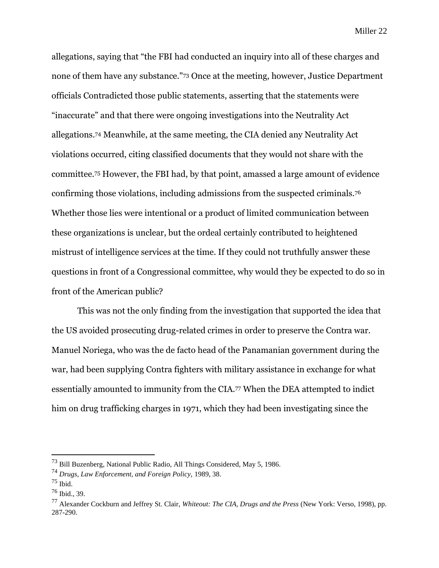allegations, saying that "the FBI had conducted an inquiry into all of these charges and none of them have any substance."<sup>73</sup> Once at the meeting, however, Justice Department officials Contradicted those public statements, asserting that the statements were "inaccurate" and that there were ongoing investigations into the Neutrality Act allegations.<sup>74</sup> Meanwhile, at the same meeting, the CIA denied any Neutrality Act violations occurred, citing classified documents that they would not share with the committee.<sup>75</sup> However, the FBI had, by that point, amassed a large amount of evidence confirming those violations, including admissions from the suspected criminals.<sup>76</sup> Whether those lies were intentional or a product of limited communication between these organizations is unclear, but the ordeal certainly contributed to heightened mistrust of intelligence services at the time. If they could not truthfully answer these questions in front of a Congressional committee, why would they be expected to do so in front of the American public?

This was not the only finding from the investigation that supported the idea that the US avoided prosecuting drug-related crimes in order to preserve the Contra war. Manuel Noriega, who was the de facto head of the Panamanian government during the war, had been supplying Contra fighters with military assistance in exchange for what essentially amounted to immunity from the CIA.<sup>77</sup> When the DEA attempted to indict him on drug trafficking charges in 1971, which they had been investigating since the

<sup>73</sup> Bill Buzenberg, National Public Radio, All Things Considered, May 5, 1986.

<sup>74</sup> *Drugs, Law Enforcement, and Foreign Policy,* 1989, 38.

<sup>75</sup> Ibid.

 $76$  Ibid., 39.

<sup>77</sup> Alexander Cockburn and Jeffrey St. Clair, *Whiteout: The CIA, Drugs and the Press* (New York: Verso, 1998), pp. 287-290.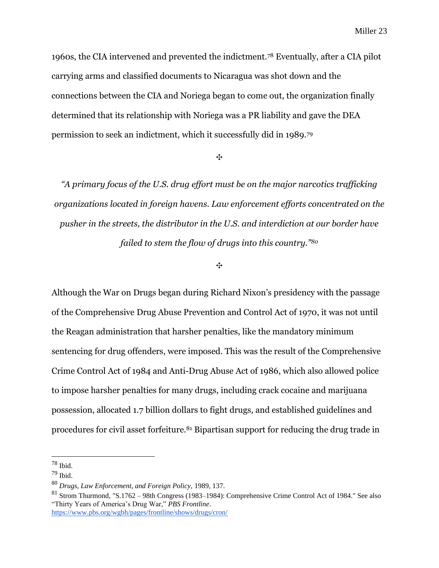1960s, the CIA intervened and prevented the indictment.<sup>78</sup> Eventually, after a CIA pilot carrying arms and classified documents to Nicaragua was shot down and the connections between the CIA and Noriega began to come out, the organization finally determined that its relationship with Noriega was a PR liability and gave the DEA permission to seek an indictment, which it successfully did in 1989.<sup>79</sup>

✥

*"A primary focus of the U.S. drug effort must be on the major narcotics trafficking organizations located in foreign havens. Law enforcement efforts concentrated on the pusher in the streets, the distributor in the U.S. and interdiction at our border have failed to stem the flow of drugs into this country."<sup>80</sup>*

✥

Although the War on Drugs began during Richard Nixon's presidency with the passage of the Comprehensive Drug Abuse Prevention and Control Act of 1970, it was not until the Reagan administration that harsher penalties, like the mandatory minimum sentencing for drug offenders, were imposed. This was the result of the Comprehensive Crime Control Act of 1984 and Anti-Drug Abuse Act of 1986, which also allowed police to impose harsher penalties for many drugs, including crack cocaine and marijuana possession, allocated 1.7 billion dollars to fight drugs, and established guidelines and procedures for civil asset forfeiture.<sup>81</sup> Bipartisan support for reducing the drug trade in

 $78$  Ibid.

 $79$  Ibid.

<sup>80</sup> *Drugs, Law Enforcement, and Foreign Policy,* 1989, 137.

<sup>81</sup> Strom Thurmond, "S.1762 – 98th Congress (1983–1984): Comprehensive Crime Control Act of 1984." See also "Thirty Years of America's Drug War," *PBS Frontline*. <https://www.pbs.org/wgbh/pages/frontline/shows/drugs/cron/>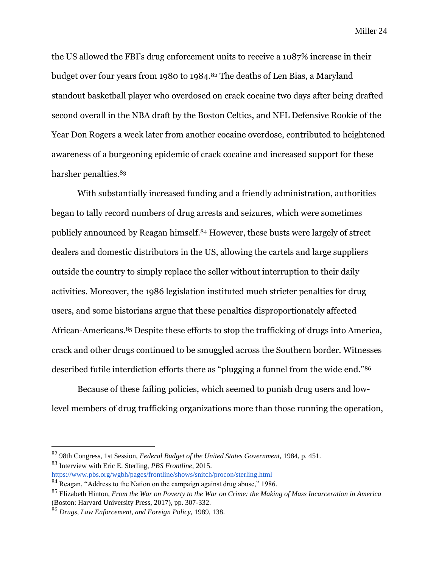the US allowed the FBI's drug enforcement units to receive a 1087% increase in their budget over four years from 1980 to 1984.<sup>82</sup> The deaths of Len Bias, a Maryland standout basketball player who overdosed on crack cocaine two days after being drafted second overall in the NBA draft by the Boston Celtics, and NFL Defensive Rookie of the Year Don Rogers a week later from another cocaine overdose, contributed to heightened awareness of a burgeoning epidemic of crack cocaine and increased support for these harsher penalties.<sup>83</sup>

With substantially increased funding and a friendly administration, authorities began to tally record numbers of drug arrests and seizures, which were sometimes publicly announced by Reagan himself.<sup>84</sup> However, these busts were largely of street dealers and domestic distributors in the US, allowing the cartels and large suppliers outside the country to simply replace the seller without interruption to their daily activities. Moreover, the 1986 legislation instituted much stricter penalties for drug users, and some historians argue that these penalties disproportionately affected African-Americans.<sup>85</sup> Despite these efforts to stop the trafficking of drugs into America, crack and other drugs continued to be smuggled across the Southern border. Witnesses described futile interdiction efforts there as "plugging a funnel from the wide end."<sup>86</sup>

Because of these failing policies, which seemed to punish drug users and lowlevel members of drug trafficking organizations more than those running the operation,

<sup>82</sup> 98th Congress, 1st Session, *Federal Budget of the United States Government,* 1984, p. 451.

<sup>83</sup> Interview with Eric E. Sterling, *PBS Frontline,* 2015.

<https://www.pbs.org/wgbh/pages/frontline/shows/snitch/procon/sterling.html>

<sup>84</sup> Reagan, "Address to the Nation on the campaign against drug abuse," 1986.

<sup>85</sup> Elizabeth Hinton, *From the War on Poverty to the War on Crime: the Making of Mass Incarceration in America*  (Boston: Harvard University Press, 2017), pp. 307-332.

<sup>86</sup> *Drugs, Law Enforcement, and Foreign Policy,* 1989, 138.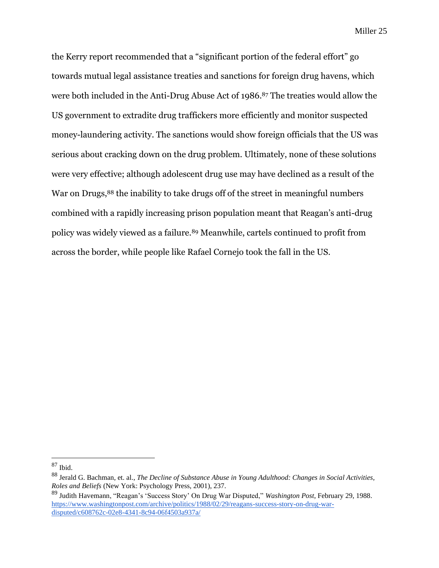the Kerry report recommended that a "significant portion of the federal effort" go towards mutual legal assistance treaties and sanctions for foreign drug havens, which were both included in the Anti-Drug Abuse Act of 1986.<sup>87</sup> The treaties would allow the US government to extradite drug traffickers more efficiently and monitor suspected money-laundering activity. The sanctions would show foreign officials that the US was serious about cracking down on the drug problem. Ultimately, none of these solutions were very effective; although adolescent drug use may have declined as a result of the War on Drugs,<sup>88</sup> the inability to take drugs off of the street in meaningful numbers combined with a rapidly increasing prison population meant that Reagan's anti-drug policy was widely viewed as a failure.<sup>89</sup> Meanwhile, cartels continued to profit from across the border, while people like Rafael Cornejo took the fall in the US.

<sup>87</sup> Ibid.

<sup>88</sup> Jerald G. Bachman, et. al., *The Decline of Substance Abuse in Young Adulthood: Changes in Social Activities, Roles and Beliefs* (New York: Psychology Press, 2001), 237.

<sup>89</sup> Judith Havemann, "Reagan's 'Success Story' On Drug War Disputed," *Washington Post*, February 29, 1988. [https://www.washingtonpost.com/archive/politics/1988/02/29/reagans-success-story-on-drug-war](https://www.washingtonpost.com/archive/politics/1988/02/29/reagans-success-story-on-drug-war-disputed/c608762c-02e8-4341-8c94-06f4503a937a/)[disputed/c608762c-02e8-4341-8c94-06f4503a937a/](https://www.washingtonpost.com/archive/politics/1988/02/29/reagans-success-story-on-drug-war-disputed/c608762c-02e8-4341-8c94-06f4503a937a/)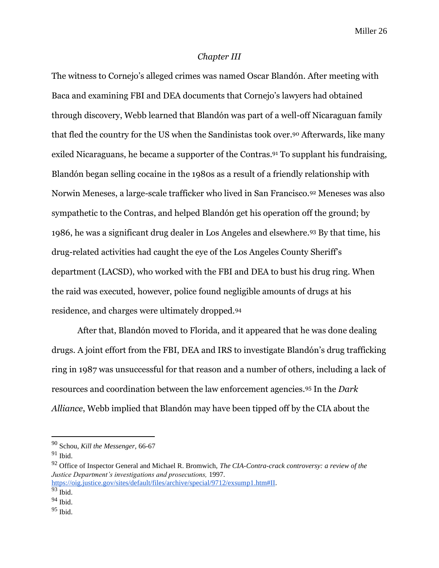#### *Chapter III*

The witness to Cornejo's alleged crimes was named Oscar Blandón. After meeting with Baca and examining FBI and DEA documents that Cornejo's lawyers had obtained through discovery, Webb learned that Blandón was part of a well-off Nicaraguan family that fled the country for the US when the Sandinistas took over.<sup>90</sup> Afterwards, like many exiled Nicaraguans, he became a supporter of the Contras.<sup>91</sup> To supplant his fundraising, Blandón began selling cocaine in the 1980s as a result of a friendly relationship with Norwin Meneses, a large-scale trafficker who lived in San Francisco.<sup>92</sup> Meneses was also sympathetic to the Contras, and helped Blandón get his operation off the ground; by 1986, he was a significant drug dealer in Los Angeles and elsewhere.<sup>93</sup> By that time, his drug-related activities had caught the eye of the Los Angeles County Sheriff's department (LACSD), who worked with the FBI and DEA to bust his drug ring. When the raid was executed, however, police found negligible amounts of drugs at his residence, and charges were ultimately dropped.<sup>94</sup>

After that, Blandón moved to Florida, and it appeared that he was done dealing drugs. A joint effort from the FBI, DEA and IRS to investigate Blandón's drug trafficking ring in 1987 was unsuccessful for that reason and a number of others, including a lack of resources and coordination between the law enforcement agencies.<sup>95</sup> In the *Dark Alliance*, Webb implied that Blandón may have been tipped off by the CIA about the

<sup>90</sup> Schou, *Kill the Messenger,* 66-67

 $91$  Ibid.

<sup>92</sup> Office of Inspector General and Michael R. Bromwich, *The CIA-Contra-crack controversy: a review of the Justice Department's investigations and prosecutions,* 1997.

[https://oig.justice.gov/sites/default/files/archive/special/9712/exsump1.htm#II.](https://oig.justice.gov/sites/default/files/archive/special/9712/exsump1.htm#II)  $93$  Ibid.

 $94$  Ibid.

<sup>95</sup> Ibid.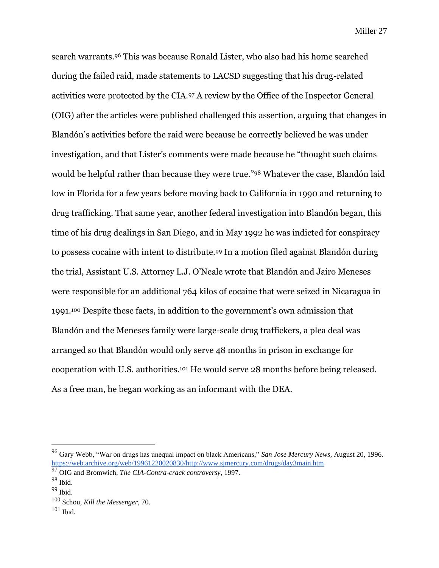search warrants.<sup>96</sup> This was because Ronald Lister, who also had his home searched during the failed raid, made statements to LACSD suggesting that his drug-related activities were protected by the CIA.<sup>97</sup> A review by the Office of the Inspector General (OIG) after the articles were published challenged this assertion, arguing that changes in Blandón's activities before the raid were because he correctly believed he was under investigation, and that Lister's comments were made because he "thought such claims would be helpful rather than because they were true."<sup>98</sup> Whatever the case, Blandón laid low in Florida for a few years before moving back to California in 1990 and returning to drug trafficking. That same year, another federal investigation into Blandón began, this time of his drug dealings in San Diego, and in May 1992 he was indicted for conspiracy to possess cocaine with intent to distribute.<sup>99</sup> In a motion filed against Blandón during the trial, Assistant U.S. Attorney L.J. O'Neale wrote that Blandón and Jairo Meneses were responsible for an additional 764 kilos of cocaine that were seized in Nicaragua in 1991.<sup>100</sup> Despite these facts, in addition to the government's own admission that Blandón and the Meneses family were large-scale drug traffickers, a plea deal was arranged so that Blandón would only serve 48 months in prison in exchange for cooperation with U.S. authorities.<sup>101</sup> He would serve 28 months before being released. As a free man, he began working as an informant with the DEA.

<sup>96</sup> Gary Webb, "War on drugs has unequal impact on black Americans," *San Jose Mercury News,* August 20, 1996. [https://web.archive.org/web/19961220020830/http://www.sjmercury.com/drugs/day3main.htm](https://web.archive.org/web/19961220020830/http:/www.sjmercury.com/drugs/day3main.htm)

<sup>97</sup> OIG and Bromwich, *The CIA-Contra-crack controversy*, 1997.

<sup>98</sup> Ibid.

 $99$  Ibid.

<sup>100</sup> Schou, *Kill the Messenger,* 70.

 $101$  Ibid.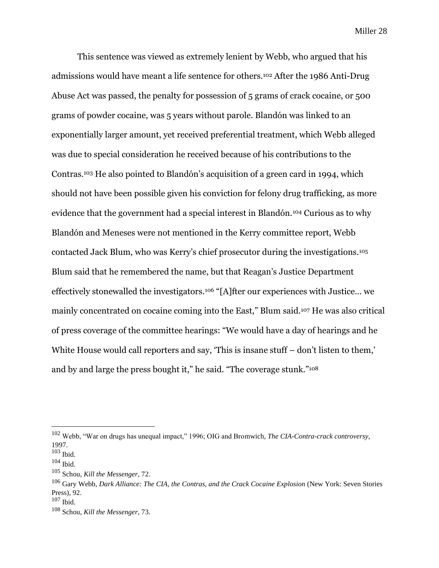This sentence was viewed as extremely lenient by Webb, who argued that his admissions would have meant a life sentence for others.<sup>102</sup> After the 1986 Anti-Drug Abuse Act was passed, the penalty for possession of 5 grams of crack cocaine, or 500 grams of powder cocaine, was 5 years without parole. Blandón was linked to an exponentially larger amount, yet received preferential treatment, which Webb alleged was due to special consideration he received because of his contributions to the Contras.<sup>103</sup> He also pointed to Blandón's acquisition of a green card in 1994, which should not have been possible given his conviction for felony drug trafficking, as more evidence that the government had a special interest in Blandón.<sup>104</sup> Curious as to why Blandón and Meneses were not mentioned in the Kerry committee report, Webb contacted Jack Blum, who was Kerry's chief prosecutor during the investigations.<sup>105</sup> Blum said that he remembered the name, but that Reagan's Justice Department effectively stonewalled the investigators.<sup>106</sup> "[A]fter our experiences with Justice… we mainly concentrated on cocaine coming into the East," Blum said.<sup>107</sup> He was also critical of press coverage of the committee hearings: "We would have a day of hearings and he White House would call reporters and say, 'This is insane stuff – don't listen to them,' and by and large the press bought it," he said. "The coverage stunk."<sup>108</sup>

<sup>102</sup> Webb, "War on drugs has unequal impact," 1996; OIG and Bromwich, *The CIA-Contra-crack controversy*, 1997.

 $103$  Ibid.

 $104$  Ibid.

<sup>105</sup> Schou, *Kill the Messenger,* 72.

<sup>&</sup>lt;sup>106</sup> Garv Webb, *Dark Alliance: The CIA, the Contras, and the Crack Cocaine Explosion* (New York: Seven Stories Press), 92.

 $107$  Ibid.

<sup>108</sup> Schou, *Kill the Messenger,* 73.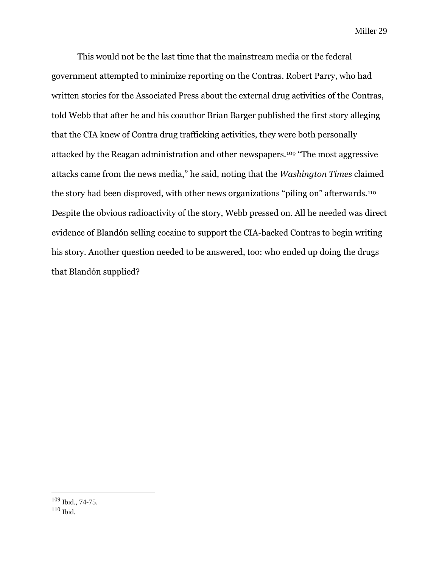This would not be the last time that the mainstream media or the federal government attempted to minimize reporting on the Contras. Robert Parry, who had written stories for the Associated Press about the external drug activities of the Contras, told Webb that after he and his coauthor Brian Barger published the first story alleging that the CIA knew of Contra drug trafficking activities, they were both personally attacked by the Reagan administration and other newspapers.<sup>109</sup> "The most aggressive attacks came from the news media," he said, noting that the *Washington Times* claimed the story had been disproved, with other news organizations "piling on" afterwards.<sup>110</sup> Despite the obvious radioactivity of the story, Webb pressed on. All he needed was direct evidence of Blandón selling cocaine to support the CIA-backed Contras to begin writing his story. Another question needed to be answered, too: who ended up doing the drugs that Blandón supplied?

<sup>109</sup> Ibid., 74-75.

<sup>110</sup> Ibid.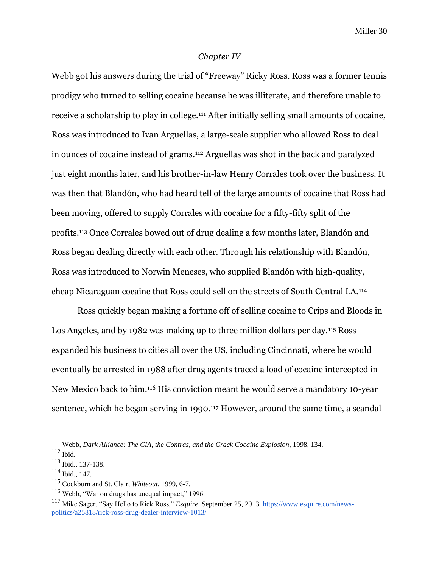#### *Chapter IV*

Webb got his answers during the trial of "Freeway" Ricky Ross. Ross was a former tennis prodigy who turned to selling cocaine because he was illiterate, and therefore unable to receive a scholarship to play in college.<sup>111</sup> After initially selling small amounts of cocaine, Ross was introduced to Ivan Arguellas, a large-scale supplier who allowed Ross to deal in ounces of cocaine instead of grams.<sup>112</sup> Arguellas was shot in the back and paralyzed just eight months later, and his brother-in-law Henry Corrales took over the business. It was then that Blandón, who had heard tell of the large amounts of cocaine that Ross had been moving, offered to supply Corrales with cocaine for a fifty-fifty split of the profits.<sup>113</sup> Once Corrales bowed out of drug dealing a few months later, Blandón and Ross began dealing directly with each other. Through his relationship with Blandón, Ross was introduced to Norwin Meneses, who supplied Blandón with high-quality, cheap Nicaraguan cocaine that Ross could sell on the streets of South Central LA.<sup>114</sup>

Ross quickly began making a fortune off of selling cocaine to Crips and Bloods in Los Angeles, and by 1982 was making up to three million dollars per day.<sup>115</sup> Ross expanded his business to cities all over the US, including Cincinnati, where he would eventually be arrested in 1988 after drug agents traced a load of cocaine intercepted in New Mexico back to him.<sup>116</sup> His conviction meant he would serve a mandatory 10-year sentence, which he began serving in 1990.<sup>117</sup> However, around the same time, a scandal

<sup>111</sup> Webb, *Dark Alliance: The CIA, the Contras, and the Crack Cocaine Explosion*, 1998, 134.

<sup>112</sup> Ibid.

<sup>113</sup> Ibid., 137-138.

<sup>114</sup> Ibid., 147.

<sup>115</sup> Cockburn and St. Clair, *Whiteout*, 1999, 6-7.

<sup>116</sup> Webb, "War on drugs has unequal impact," 1996.

<sup>117</sup> Mike Sager, "Say Hello to Rick Ross," *Esquire*, September 25, 2013[. https://www.esquire.com/news](https://www.esquire.com/news-politics/a25818/rick-ross-drug-dealer-interview-1013/)[politics/a25818/rick-ross-drug-dealer-interview-1013/](https://www.esquire.com/news-politics/a25818/rick-ross-drug-dealer-interview-1013/)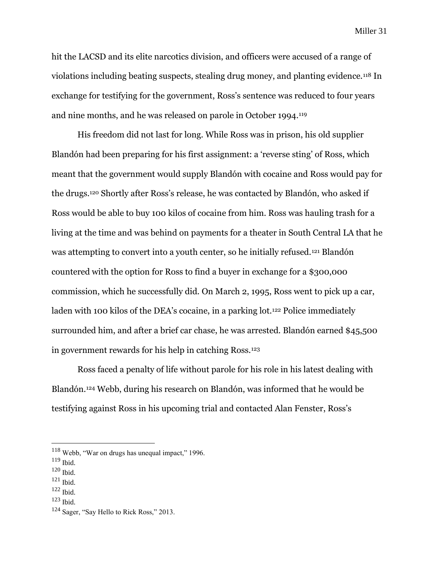hit the LACSD and its elite narcotics division, and officers were accused of a range of violations including beating suspects, stealing drug money, and planting evidence.<sup>118</sup> In exchange for testifying for the government, Ross's sentence was reduced to four years and nine months, and he was released on parole in October 1994.<sup>119</sup>

His freedom did not last for long. While Ross was in prison, his old supplier Blandón had been preparing for his first assignment: a 'reverse sting' of Ross, which meant that the government would supply Blandón with cocaine and Ross would pay for the drugs.<sup>120</sup> Shortly after Ross's release, he was contacted by Blandón, who asked if Ross would be able to buy 100 kilos of cocaine from him. Ross was hauling trash for a living at the time and was behind on payments for a theater in South Central LA that he was attempting to convert into a youth center, so he initially refused.<sup>121</sup> Blandón countered with the option for Ross to find a buyer in exchange for a \$300,000 commission, which he successfully did. On March 2, 1995, Ross went to pick up a car, laden with 100 kilos of the DEA's cocaine, in a parking lot.<sup>122</sup> Police immediately surrounded him, and after a brief car chase, he was arrested. Blandón earned \$45,500 in government rewards for his help in catching Ross.<sup>123</sup>

Ross faced a penalty of life without parole for his role in his latest dealing with Blandón.<sup>124</sup> Webb, during his research on Blandón, was informed that he would be testifying against Ross in his upcoming trial and contacted Alan Fenster, Ross's

- <sup>120</sup> Ibid.
- <sup>121</sup> Ibid.
- $122$  Ibid.
- <sup>123</sup> Ibid.

<sup>118</sup> Webb, "War on drugs has unequal impact," 1996.

<sup>119</sup> Ibid.

 $124$  Sager, "Say Hello to Rick Ross," 2013.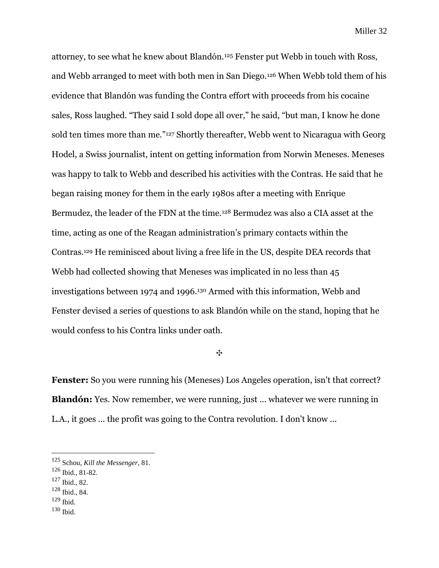attorney, to see what he knew about Blandón.<sup>125</sup> Fenster put Webb in touch with Ross, and Webb arranged to meet with both men in San Diego.<sup>126</sup> When Webb told them of his evidence that Blandón was funding the Contra effort with proceeds from his cocaine sales, Ross laughed. "They said I sold dope all over," he said, "but man, I know he done sold ten times more than me."<sup>127</sup> Shortly thereafter, Webb went to Nicaragua with Georg Hodel, a Swiss journalist, intent on getting information from Norwin Meneses. Meneses was happy to talk to Webb and described his activities with the Contras. He said that he began raising money for them in the early 1980s after a meeting with Enrique Bermudez, the leader of the FDN at the time.<sup>128</sup> Bermudez was also a CIA asset at the time, acting as one of the Reagan administration's primary contacts within the Contras.<sup>129</sup> He reminisced about living a free life in the US, despite DEA records that Webb had collected showing that Meneses was implicated in no less than 45 investigations between 1974 and 1996.<sup>130</sup> Armed with this information, Webb and Fenster devised a series of questions to ask Blandón while on the stand, hoping that he would confess to his Contra links under oath.

✥

**Fenster:** So you were running his (Meneses) Los Angeles operation, isn't that correct? **Blandón:** Yes. Now remember, we were running, just ... whatever we were running in L.A., it goes ... the profit was going to the Contra revolution. I don't know ...

- <sup>128</sup> Ibid., 84.
- $129$  Ibid.
- <sup>130</sup> Ibid.

<sup>125</sup> Schou, *Kill the Messenger,* 81.

 $126$  Ibid., 81-82.

<sup>127</sup> Ibid., 82.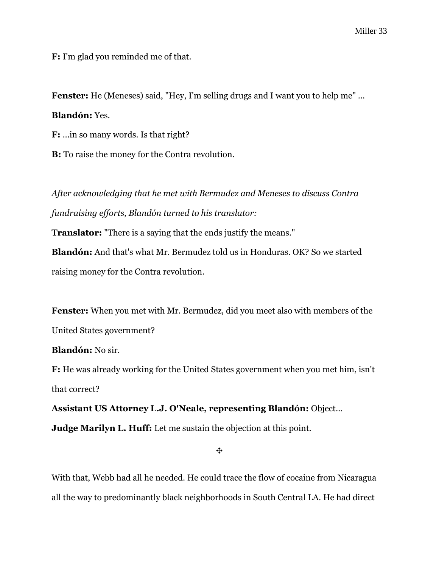**F:** I'm glad you reminded me of that.

**Fenster:** He (Meneses) said, "Hey, I'm selling drugs and I want you to help me" ...

## **Blandón:** Yes.

**F:** ...in so many words. Is that right?

**B:** To raise the money for the Contra revolution.

*After acknowledging that he met with Bermudez and Meneses to discuss Contra fundraising efforts, Blandón turned to his translator:*

**Translator:** "There is a saying that the ends justify the means."

**Blandón:** And that's what Mr. Bermudez told us in Honduras. OK? So we started raising money for the Contra revolution.

**Fenster:** When you met with Mr. Bermudez, did you meet also with members of the United States government?

**Blandón:** No sir.

**F:** He was already working for the United States government when you met him, isn't that correct?

**Assistant US Attorney L.J. O'Neale, representing Blandón:** Object... **Judge Marilyn L. Huff:** Let me sustain the objection at this point.

✥

With that, Webb had all he needed. He could trace the flow of cocaine from Nicaragua all the way to predominantly black neighborhoods in South Central LA. He had direct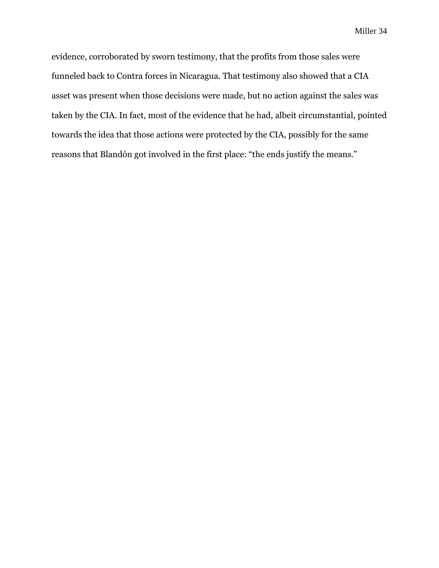evidence, corroborated by sworn testimony, that the profits from those sales were funneled back to Contra forces in Nicaragua. That testimony also showed that a CIA asset was present when those decisions were made, but no action against the sales was taken by the CIA. In fact, most of the evidence that he had, albeit circumstantial, pointed towards the idea that those actions were protected by the CIA, possibly for the same reasons that Blandón got involved in the first place: "the ends justify the means."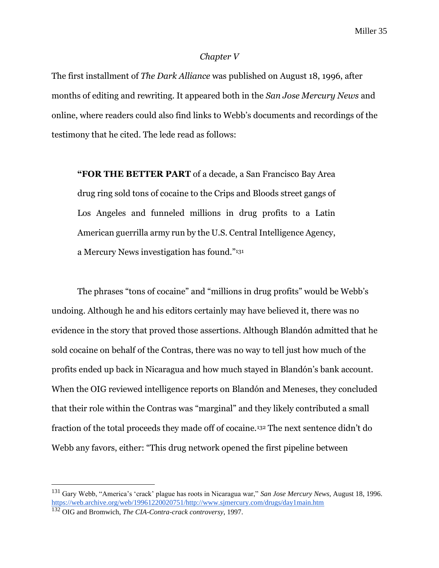#### *Chapter V*

The first installment of *The Dark Alliance* was published on August 18, 1996, after months of editing and rewriting. It appeared both in the *San Jose Mercury News* and online, where readers could also find links to Webb's documents and recordings of the testimony that he cited. The lede read as follows:

**"FOR THE BETTER PART** of a decade, a San Francisco Bay Area drug ring sold tons of cocaine to the Crips and Bloods street gangs of Los Angeles and funneled millions in drug profits to a Latin American guerrilla army run by the U.S. Central Intelligence Agency, a Mercury News investigation has found."<sup>131</sup>

The phrases "tons of cocaine" and "millions in drug profits" would be Webb's undoing. Although he and his editors certainly may have believed it, there was no evidence in the story that proved those assertions. Although Blandón admitted that he sold cocaine on behalf of the Contras, there was no way to tell just how much of the profits ended up back in Nicaragua and how much stayed in Blandón's bank account. When the OIG reviewed intelligence reports on Blandón and Meneses, they concluded that their role within the Contras was "marginal" and they likely contributed a small fraction of the total proceeds they made off of cocaine.<sup>132</sup> The next sentence didn't do Webb any favors, either: "This drug network opened the first pipeline between

<sup>131</sup> Gary Webb, "America's 'crack' plague has roots in Nicaragua war," *San Jose Mercury News,* August 18, 1996. [https://web.archive.org/web/19961220020751/http://www.sjmercury.com/drugs/day1main.htm](https://web.archive.org/web/19961220020751/http:/www.sjmercury.com/drugs/day1main.htm)

<sup>132</sup> OIG and Bromwich, *The CIA-Contra-crack controversy*, 1997.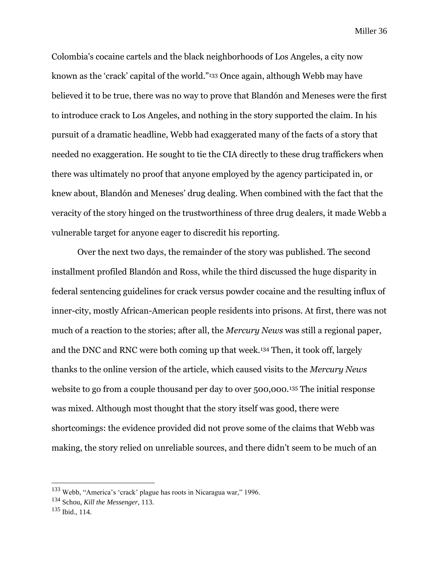Colombia's cocaine cartels and the black neighborhoods of Los Angeles, a city now known as the 'crack' capital of the world."<sup>133</sup> Once again, although Webb may have believed it to be true, there was no way to prove that Blandón and Meneses were the first to introduce crack to Los Angeles, and nothing in the story supported the claim. In his pursuit of a dramatic headline, Webb had exaggerated many of the facts of a story that needed no exaggeration. He sought to tie the CIA directly to these drug traffickers when there was ultimately no proof that anyone employed by the agency participated in, or knew about, Blandón and Meneses' drug dealing. When combined with the fact that the veracity of the story hinged on the trustworthiness of three drug dealers, it made Webb a vulnerable target for anyone eager to discredit his reporting.

Over the next two days, the remainder of the story was published. The second installment profiled Blandón and Ross, while the third discussed the huge disparity in federal sentencing guidelines for crack versus powder cocaine and the resulting influx of inner-city, mostly African-American people residents into prisons. At first, there was not much of a reaction to the stories; after all, the *Mercury News* was still a regional paper, and the DNC and RNC were both coming up that week.<sup>134</sup> Then, it took off, largely thanks to the online version of the article, which caused visits to the *Mercury News* website to go from a couple thousand per day to over 500,000.<sup>135</sup> The initial response was mixed. Although most thought that the story itself was good, there were shortcomings: the evidence provided did not prove some of the claims that Webb was making, the story relied on unreliable sources, and there didn't seem to be much of an

<sup>133</sup> Webb, "America's 'crack' plague has roots in Nicaragua war," 1996.

<sup>134</sup> Schou, *Kill the Messenger,* 113.

<sup>135</sup> Ibid., 114.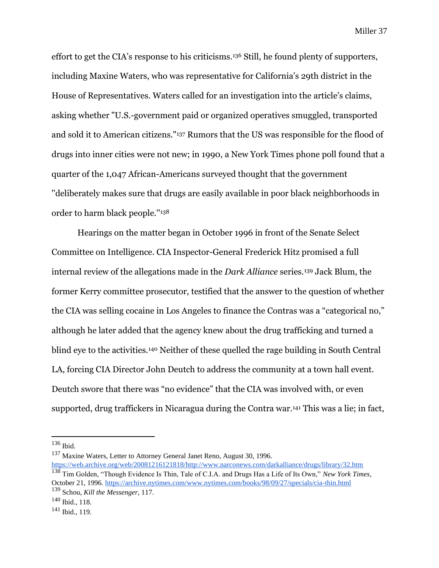effort to get the CIA's response to his criticisms.<sup>136</sup> Still, he found plenty of supporters, including Maxine Waters, who was representative for California's 29th district in the House of Representatives. Waters called for an investigation into the article's claims, asking whether "U.S.-government paid or organized operatives smuggled, transported and sold it to American citizens."<sup>137</sup> Rumors that the US was responsible for the flood of drugs into inner cities were not new; in 1990, a New York Times phone poll found that a quarter of the 1,047 African-Americans surveyed thought that the government ''deliberately makes sure that drugs are easily available in poor black neighborhoods in order to harm black people.''<sup>138</sup>

Hearings on the matter began in October 1996 in front of the Senate Select Committee on Intelligence. CIA Inspector-General Frederick Hitz promised a full internal review of the allegations made in the *Dark Alliance* series.<sup>139</sup> Jack Blum, the former Kerry committee prosecutor, testified that the answer to the question of whether the CIA was selling cocaine in Los Angeles to finance the Contras was a "categorical no," although he later added that the agency knew about the drug trafficking and turned a blind eye to the activities.<sup>140</sup> Neither of these quelled the rage building in South Central LA, forcing CIA Director John Deutch to address the community at a town hall event. Deutch swore that there was "no evidence" that the CIA was involved with, or even supported, drug traffickers in Nicaragua during the Contra war.<sup>141</sup> This was a lie; in fact,

<sup>137</sup> Maxine Waters, Letter to Attorney General Janet Reno, August 30, 1996. [https://web.archive.org/web/20081216121818/http://www.narconews.com/darkalliance/drugs/library/32.htm](https://web.archive.org/web/20081216121818/http:/www.narconews.com/darkalliance/drugs/library/32.htm) <sup>138</sup> Tim Golden, "Though Evidence Is Thin, Tale of C.I.A. and Drugs Has a Life of Its Own," *New York Times,* 

<sup>136</sup> Ibid.

October 21, 1996[. https://archive.nytimes.com/www.nytimes.com/books/98/09/27/specials/cia-thin.html](https://archive.nytimes.com/www.nytimes.com/books/98/09/27/specials/cia-thin.html)

<sup>139</sup> Schou, *Kill the Messenger,* 117.

<sup>140</sup> Ibid., 118.

<sup>141</sup> Ibid., 119.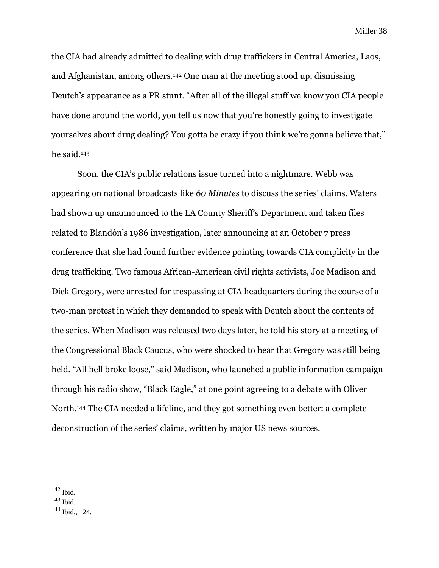the CIA had already admitted to dealing with drug traffickers in Central America, Laos, and Afghanistan, among others.<sup>142</sup> One man at the meeting stood up, dismissing Deutch's appearance as a PR stunt. "After all of the illegal stuff we know you CIA people have done around the world, you tell us now that you're honestly going to investigate yourselves about drug dealing? You gotta be crazy if you think we're gonna believe that," he said.<sup>143</sup>

Soon, the CIA's public relations issue turned into a nightmare. Webb was appearing on national broadcasts like *60 Minutes* to discuss the series' claims. Waters had shown up unannounced to the LA County Sheriff's Department and taken files related to Blandón's 1986 investigation, later announcing at an October 7 press conference that she had found further evidence pointing towards CIA complicity in the drug trafficking. Two famous African-American civil rights activists, Joe Madison and Dick Gregory, were arrested for trespassing at CIA headquarters during the course of a two-man protest in which they demanded to speak with Deutch about the contents of the series. When Madison was released two days later, he told his story at a meeting of the Congressional Black Caucus, who were shocked to hear that Gregory was still being held. "All hell broke loose," said Madison, who launched a public information campaign through his radio show, "Black Eagle," at one point agreeing to a debate with Oliver North.<sup>144</sup> The CIA needed a lifeline, and they got something even better: a complete deconstruction of the series' claims, written by major US news sources.

<sup>142</sup> Ibid.

<sup>143</sup> Ibid.

<sup>144</sup> Ibid., 124.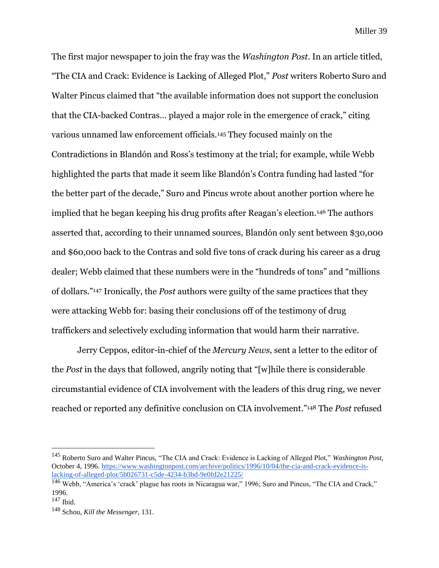The first major newspaper to join the fray was the *Washington Post*. In an article titled, "The CIA and Crack: Evidence is Lacking of Alleged Plot," *Post* writers Roberto Suro and Walter Pincus claimed that "the available information does not support the conclusion that the CIA-backed Contras… played a major role in the emergence of crack," citing various unnamed law enforcement officials.<sup>145</sup> They focused mainly on the Contradictions in Blandón and Ross's testimony at the trial; for example, while Webb highlighted the parts that made it seem like Blandón's Contra funding had lasted "for the better part of the decade," Suro and Pincus wrote about another portion where he implied that he began keeping his drug profits after Reagan's election.<sup>146</sup> The authors asserted that, according to their unnamed sources, Blandón only sent between \$30,000 and \$60,000 back to the Contras and sold five tons of crack during his career as a drug dealer; Webb claimed that these numbers were in the "hundreds of tons" and "millions of dollars."<sup>147</sup> Ironically, the *Post* authors were guilty of the same practices that they were attacking Webb for: basing their conclusions off of the testimony of drug traffickers and selectively excluding information that would harm their narrative.

Jerry Ceppos, editor-in-chief of the *Mercury News,* sent a letter to the editor of the *Post* in the days that followed, angrily noting that "[w]hile there is considerable circumstantial evidence of CIA involvement with the leaders of this drug ring, we never reached or reported any definitive conclusion on CIA involvement."<sup>148</sup> The *Post* refused

<sup>145</sup> Roberto Suro and Walter Pincus, "The CIA and Crack: Evidence is Lacking of Alleged Plot," *Washington Post,*  October 4, 1996[. https://www.washingtonpost.com/archive/politics/1996/10/04/the-cia-and-crack-evidence-is](https://www.washingtonpost.com/archive/politics/1996/10/04/the-cia-and-crack-evidence-is-lacking-of-alleged-plot/5b026731-c5de-4234-b3bd-9e0fd2e21225/)[lacking-of-alleged-plot/5b026731-c5de-4234-b3bd-9e0fd2e21225/](https://www.washingtonpost.com/archive/politics/1996/10/04/the-cia-and-crack-evidence-is-lacking-of-alleged-plot/5b026731-c5de-4234-b3bd-9e0fd2e21225/)

<sup>146</sup> Webb, "America's 'crack' plague has roots in Nicaragua war," 1996; Suro and Pincus, "The CIA and Crack," 1996.

<sup>147</sup> Ibid.

<sup>148</sup> Schou, *Kill the Messenger*, 131.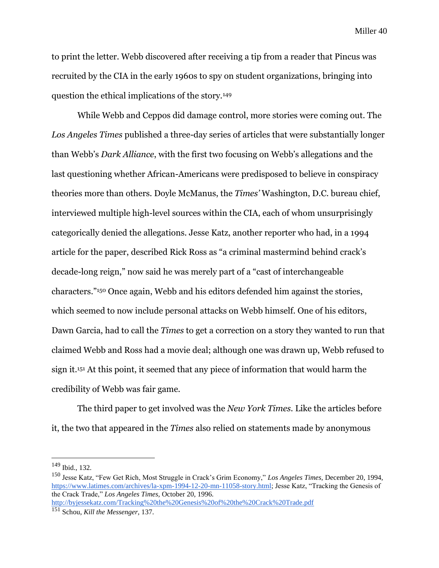to print the letter. Webb discovered after receiving a tip from a reader that Pincus was recruited by the CIA in the early 1960s to spy on student organizations, bringing into question the ethical implications of the story.<sup>149</sup>

While Webb and Ceppos did damage control, more stories were coming out. The *Los Angeles Times* published a three-day series of articles that were substantially longer than Webb's *Dark Alliance*, with the first two focusing on Webb's allegations and the last questioning whether African-Americans were predisposed to believe in conspiracy theories more than others. Doyle McManus, the *Times'* Washington, D.C. bureau chief, interviewed multiple high-level sources within the CIA, each of whom unsurprisingly categorically denied the allegations. Jesse Katz, another reporter who had, in a 1994 article for the paper, described Rick Ross as "a criminal mastermind behind crack's decade-long reign," now said he was merely part of a "cast of interchangeable characters."<sup>150</sup> Once again, Webb and his editors defended him against the stories, which seemed to now include personal attacks on Webb himself. One of his editors, Dawn Garcia, had to call the *Times* to get a correction on a story they wanted to run that claimed Webb and Ross had a movie deal; although one was drawn up, Webb refused to sign it.<sup>151</sup> At this point, it seemed that any piece of information that would harm the credibility of Webb was fair game.

The third paper to get involved was the *New York Times.* Like the articles before it, the two that appeared in the *Times* also relied on statements made by anonymous

<http://byjessekatz.com/Tracking%20the%20Genesis%20of%20the%20Crack%20Trade.pdf>

<sup>149</sup> Ibid., 132.

<sup>150</sup> Jesse Katz, "Few Get Rich, Most Struggle in Crack's Grim Economy," *Los Angeles Times,* December 20, 1994, [https://www.latimes.com/archives/la-xpm-1994-12-20-mn-11058-story.html;](https://www.latimes.com/archives/la-xpm-1994-12-20-mn-11058-story.html) Jesse Katz, "Tracking the Genesis of the Crack Trade," *Los Angeles Times,* October 20, 1996.

<sup>151</sup> Schou, *Kill the Messenger,* 137.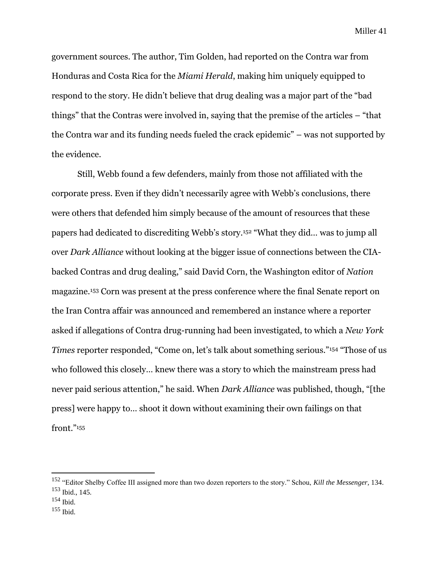government sources. The author, Tim Golden, had reported on the Contra war from Honduras and Costa Rica for the *Miami Herald*, making him uniquely equipped to respond to the story. He didn't believe that drug dealing was a major part of the "bad things" that the Contras were involved in, saying that the premise of the articles – "that the Contra war and its funding needs fueled the crack epidemic" – was not supported by the evidence.

Still, Webb found a few defenders, mainly from those not affiliated with the corporate press. Even if they didn't necessarily agree with Webb's conclusions, there were others that defended him simply because of the amount of resources that these papers had dedicated to discrediting Webb's story.<sup>152</sup> "What they did… was to jump all over *Dark Alliance* without looking at the bigger issue of connections between the CIAbacked Contras and drug dealing," said David Corn, the Washington editor of *Nation*  magazine.<sup>153</sup> Corn was present at the press conference where the final Senate report on the Iran Contra affair was announced and remembered an instance where a reporter asked if allegations of Contra drug-running had been investigated, to which a *New York Times* reporter responded, "Come on, let's talk about something serious."<sup>154</sup> "Those of us who followed this closely… knew there was a story to which the mainstream press had never paid serious attention," he said. When *Dark Alliance* was published, though, "[the press] were happy to… shoot it down without examining their own failings on that front."<sup>155</sup>

<sup>152</sup> "Editor Shelby Coffee III assigned more than two dozen reporters to the story." Schou, *Kill the Messenger,* 134. <sup>153</sup> Ibid., 145.

<sup>154</sup> Ibid.

 $155$  Ibid.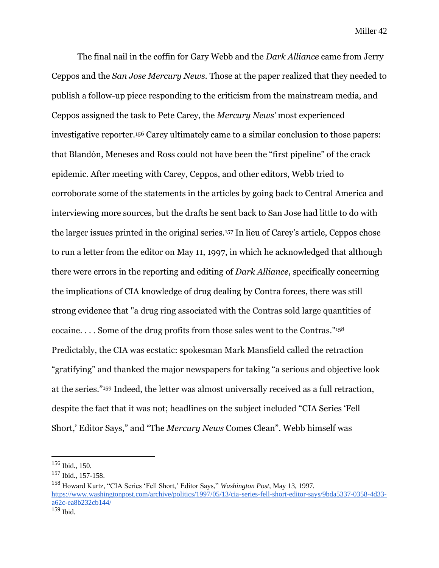The final nail in the coffin for Gary Webb and the *Dark Alliance* came from Jerry Ceppos and the *San Jose Mercury News.* Those at the paper realized that they needed to publish a follow-up piece responding to the criticism from the mainstream media, and Ceppos assigned the task to Pete Carey, the *Mercury News'* most experienced investigative reporter.<sup>156</sup> Carey ultimately came to a similar conclusion to those papers: that Blandón, Meneses and Ross could not have been the "first pipeline" of the crack epidemic. After meeting with Carey, Ceppos, and other editors, Webb tried to corroborate some of the statements in the articles by going back to Central America and interviewing more sources, but the drafts he sent back to San Jose had little to do with the larger issues printed in the original series.<sup>157</sup> In lieu of Carey's article, Ceppos chose to run a letter from the editor on May 11, 1997, in which he acknowledged that although there were errors in the reporting and editing of *Dark Alliance*, specifically concerning the implications of CIA knowledge of drug dealing by Contra forces, there was still strong evidence that "a drug ring associated with the Contras sold large quantities of cocaine. . . . Some of the drug profits from those sales went to the Contras."<sup>158</sup> Predictably, the CIA was ecstatic: spokesman Mark Mansfield called the retraction "gratifying" and thanked the major newspapers for taking "a serious and objective look at the series."<sup>159</sup> Indeed, the letter was almost universally received as a full retraction, despite the fact that it was not; headlines on the subject included "CIA Series 'Fell Short,' Editor Says," and "The *Mercury News* Comes Clean". Webb himself was

 $156$  Ibid., 150.

<sup>157</sup> Ibid., 157-158.

<sup>158</sup> Howard Kurtz, "CIA Series 'Fell Short,' Editor Says," *Washington Post*, May 13, 1997. [https://www.washingtonpost.com/archive/politics/1997/05/13/cia-series-fell-short-editor-says/9bda5337-0358-4d33](https://www.washingtonpost.com/archive/politics/1997/05/13/cia-series-fell-short-editor-says/9bda5337-0358-4d33-a62c-ea8b232cb144/) [a62c-ea8b232cb144/](https://www.washingtonpost.com/archive/politics/1997/05/13/cia-series-fell-short-editor-says/9bda5337-0358-4d33-a62c-ea8b232cb144/)  $159$  Ibid.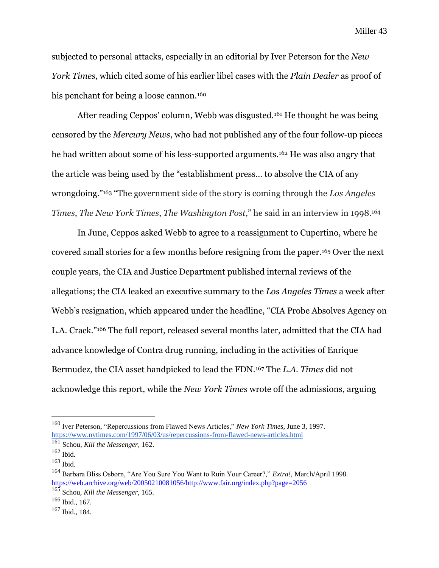subjected to personal attacks, especially in an editorial by Iver Peterson for the *New York Times,* which cited some of his earlier libel cases with the *Plain Dealer* as proof of his penchant for being a loose cannon.<sup>160</sup>

After reading Ceppos' column, Webb was disgusted.<sup>161</sup> He thought he was being censored by the *Mercury News*, who had not published any of the four follow-up pieces he had written about some of his less-supported arguments.<sup>162</sup> He was also angry that the article was being used by the "establishment press… to absolve the CIA of any wrongdoing."<sup>163</sup> "The government side of the story is coming through the *Los Angeles Times*, *The New York Times*, *The Washington Post*," he said in an interview in 1998.<sup>164</sup>

In June, Ceppos asked Webb to agree to a reassignment to Cupertino, where he covered small stories for a few months before resigning from the paper.<sup>165</sup> Over the next couple years, the CIA and Justice Department published internal reviews of the allegations; the CIA leaked an executive summary to the *Los Angeles Times* a week after Webb's resignation, which appeared under the headline, "CIA Probe Absolves Agency on L.A. Crack."<sup>166</sup> The full report, released several months later, admitted that the CIA had advance knowledge of Contra drug running, including in the activities of Enrique Bermudez, the CIA asset handpicked to lead the FDN.<sup>167</sup> The *L.A. Times* did not acknowledge this report, while the *New York Times* wrote off the admissions, arguing

<sup>160</sup> Iver Peterson, "Repercussions from Flawed News Articles," *New York Times,* June 3, 1997. <https://www.nytimes.com/1997/06/03/us/repercussions-from-flawed-news-articles.html>

<sup>161</sup> Schou, *Kill the Messenger,* 162.

<sup>162</sup> Ibid.

 $163$  Ibid.

<sup>164</sup> Barbara Bliss Osborn, "Are You Sure You Want to Ruin Your Career?," *Extra!,* March/April 1998. [https://web.archive.org/web/20050210081056/http://www.fair.org/index.php?page=2056](https://web.archive.org/web/20050210081056/http:/www.fair.org/index.php?page=2056)

<sup>165</sup> Schou, *Kill the Messenger,* 165.

<sup>166</sup> Ibid., 167.

<sup>167</sup> Ibid., 184.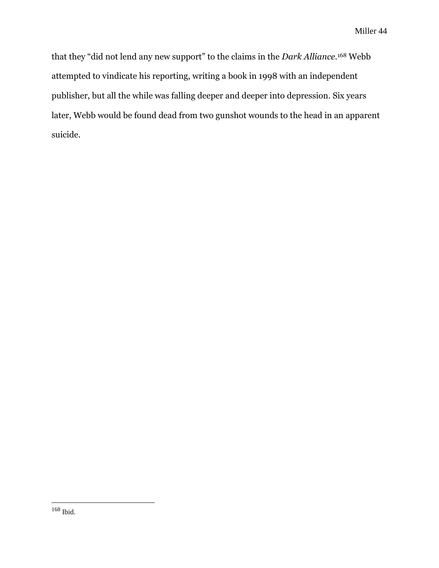that they "did not lend any new support" to the claims in the *Dark Alliance.*<sup>168</sup> Webb attempted to vindicate his reporting, writing a book in 1998 with an independent publisher, but all the while was falling deeper and deeper into depression. Six years later, Webb would be found dead from two gunshot wounds to the head in an apparent suicide.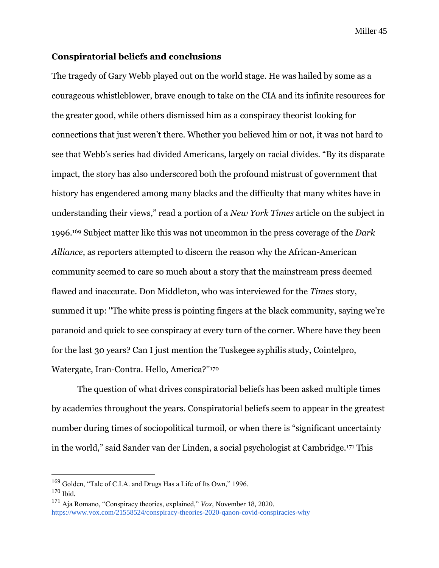### **Conspiratorial beliefs and conclusions**

The tragedy of Gary Webb played out on the world stage. He was hailed by some as a courageous whistleblower, brave enough to take on the CIA and its infinite resources for the greater good, while others dismissed him as a conspiracy theorist looking for connections that just weren't there. Whether you believed him or not, it was not hard to see that Webb's series had divided Americans, largely on racial divides. "By its disparate impact, the story has also underscored both the profound mistrust of government that history has engendered among many blacks and the difficulty that many whites have in understanding their views," read a portion of a *New York Times* article on the subject in 1996.<sup>169</sup> Subject matter like this was not uncommon in the press coverage of the *Dark Alliance*, as reporters attempted to discern the reason why the African-American community seemed to care so much about a story that the mainstream press deemed flawed and inaccurate. Don Middleton, who was interviewed for the *Times* story, summed it up: ''The white press is pointing fingers at the black community, saying we're paranoid and quick to see conspiracy at every turn of the corner. Where have they been for the last 30 years? Can I just mention the Tuskegee syphilis study, Cointelpro, Watergate, Iran-Contra. Hello, America?''<sup>170</sup>

The question of what drives conspiratorial beliefs has been asked multiple times by academics throughout the years. Conspiratorial beliefs seem to appear in the greatest number during times of sociopolitical turmoil, or when there is "significant uncertainty in the world," said Sander van der Linden, a social psychologist at Cambridge.<sup>171</sup> This

<sup>169</sup> Golden, "Tale of C.I.A. and Drugs Has a Life of Its Own," 1996.

 $170$  Ibid.

<sup>171</sup> Aja Romano, "Conspiracy theories, explained," *Vox*, November 18, 2020. <https://www.vox.com/21558524/conspiracy-theories-2020-qanon-covid-conspiracies-why>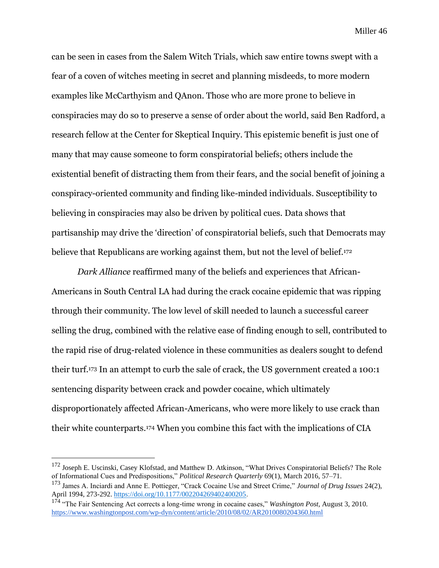can be seen in cases from the Salem Witch Trials, which saw entire towns swept with a fear of a coven of witches meeting in secret and planning misdeeds, to more modern examples like McCarthyism and QAnon. Those who are more prone to believe in conspiracies may do so to preserve a sense of order about the world, said Ben Radford, a research fellow at the Center for Skeptical Inquiry. This epistemic benefit is just one of many that may cause someone to form conspiratorial beliefs; others include the existential benefit of distracting them from their fears, and the social benefit of joining a conspiracy-oriented community and finding like-minded individuals. Susceptibility to believing in conspiracies may also be driven by political cues. Data shows that partisanship may drive the 'direction' of conspiratorial beliefs, such that Democrats may believe that Republicans are working against them, but not the level of belief.<sup>172</sup>

*Dark Alliance* reaffirmed many of the beliefs and experiences that African-Americans in South Central LA had during the crack cocaine epidemic that was ripping through their community. The low level of skill needed to launch a successful career selling the drug, combined with the relative ease of finding enough to sell, contributed to the rapid rise of drug-related violence in these communities as dealers sought to defend their turf.<sup>173</sup> In an attempt to curb the sale of crack, the US government created a 100:1 sentencing disparity between crack and powder cocaine, which ultimately disproportionately affected African-Americans, who were more likely to use crack than their white counterparts.<sup>174</sup> When you combine this fact with the implications of CIA

<sup>172</sup> Joseph E. Uscinski, Casey Klofstad, and Matthew D. Atkinson, "What Drives Conspiratorial Beliefs? The Role of Informational Cues and Predispositions," *Political Research Quarterly* 69(1), March 2016, 57–71.

<sup>173</sup> James A. Inciardi and Anne E. Pottieger, "Crack Cocaine Use and Street Crime," *Journal of Drug Issues* 24(2)*,*  April 1994, 273-292. [https://doi.org/10.1177/002204269402400205.](https://doi.org/10.1177/002204269402400205)

<sup>174</sup> "The Fair Sentencing Act corrects a long-time wrong in cocaine cases," *Washington Post,* August 3, 2010. <https://www.washingtonpost.com/wp-dyn/content/article/2010/08/02/AR2010080204360.html>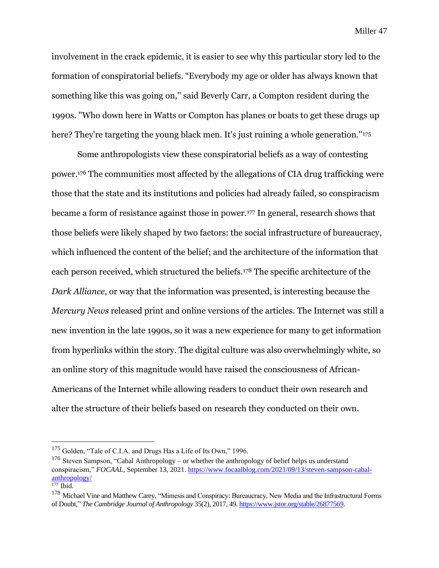involvement in the crack epidemic, it is easier to see why this particular story led to the formation of conspiratorial beliefs. "Everybody my age or older has always known that something like this was going on,'' said Beverly Carr, a Compton resident during the 1990s. ''Who down here in Watts or Compton has planes or boats to get these drugs up here? They're targeting the young black men. It's just ruining a whole generation."<sup>175</sup>

Some anthropologists view these conspiratorial beliefs as a way of contesting power.<sup>176</sup> The communities most affected by the allegations of CIA drug trafficking were those that the state and its institutions and policies had already failed, so conspiracism became a form of resistance against those in power.<sup>177</sup> In general, research shows that those beliefs were likely shaped by two factors: the social infrastructure of bureaucracy, which influenced the content of the belief; and the architecture of the information that each person received, which structured the beliefs.<sup>178</sup> The specific architecture of the *Dark Alliance*, or way that the information was presented, is interesting because the *Mercury News* released print and online versions of the articles. The Internet was still a new invention in the late 1990s, so it was a new experience for many to get information from hyperlinks within the story. The digital culture was also overwhelmingly white, so an online story of this magnitude would have raised the consciousness of African-Americans of the Internet while allowing readers to conduct their own research and alter the structure of their beliefs based on research they conducted on their own.

<sup>&</sup>lt;sup>175</sup> Golden, "Tale of C.I.A. and Drugs Has a Life of Its Own," 1996.

<sup>&</sup>lt;sup>176</sup> Steven Sampson, "Cabal Anthropology – or whether the anthropology of belief helps us understand conspiracism," *FOCAAL,* September 13, 2021. [https://www.focaalblog.com/2021/09/13/steven-sampson-cabal](https://www.focaalblog.com/2021/09/13/steven-sampson-cabal-anthropology/)[anthropology/](https://www.focaalblog.com/2021/09/13/steven-sampson-cabal-anthropology/)

 $177$  Ibid.

<sup>&</sup>lt;sup>178</sup> Michael Vine and Matthew Carey, "Mimesis and Conspiracy: Bureaucracy, New Media and the Infrastructural Forms of Doubt," *The Cambridge Journal of Anthropology* 35(2), 2017, 49. [https://www.jstor.org/stable/26877569.](https://www.jstor.org/stable/26877569)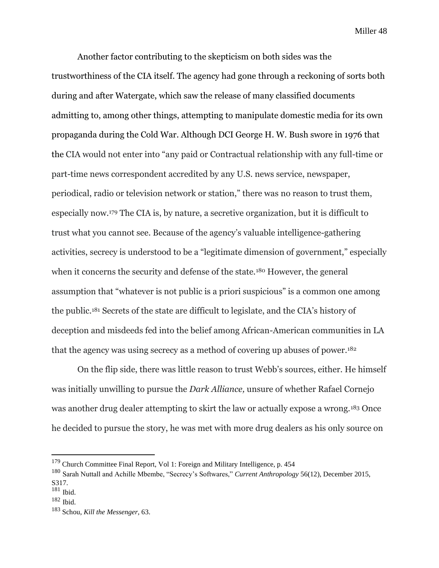Another factor contributing to the skepticism on both sides was the trustworthiness of the CIA itself. The agency had gone through a reckoning of sorts both during and after Watergate, which saw the release of many classified documents admitting to, among other things, attempting to manipulate domestic media for its own propaganda during the Cold War. Although DCI George H. W. Bush swore in 1976 that the CIA would not enter into "any paid or Contractual relationship with any full-time or part-time news correspondent accredited by any U.S. news service, newspaper, periodical, radio or television network or station," there was no reason to trust them, especially now.<sup>179</sup> The CIA is, by nature, a secretive organization, but it is difficult to trust what you cannot see. Because of the agency's valuable intelligence-gathering activities, secrecy is understood to be a "legitimate dimension of government," especially when it concerns the security and defense of the state.<sup>180</sup> However, the general assumption that "whatever is not public is a priori suspicious" is a common one among the public.<sup>181</sup> Secrets of the state are difficult to legislate, and the CIA's history of deception and misdeeds fed into the belief among African-American communities in LA that the agency was using secrecy as a method of covering up abuses of power.<sup>182</sup>

On the flip side, there was little reason to trust Webb's sources, either. He himself was initially unwilling to pursue the *Dark Alliance,* unsure of whether Rafael Cornejo was another drug dealer attempting to skirt the law or actually expose a wrong.<sup>183</sup> Once he decided to pursue the story, he was met with more drug dealers as his only source on

<sup>&</sup>lt;sup>179</sup> Church Committee Final Report, Vol 1: Foreign and Military Intelligence, p. 454

<sup>180</sup> Sarah Nuttall and Achille Mbembe, "Secrecy's Softwares," *Current Anthropology* 56(12), December 2015, S317.

<sup>181</sup> Ibid.

<sup>182</sup> Ibid.

<sup>183</sup> Schou, *Kill the Messenger,* 63.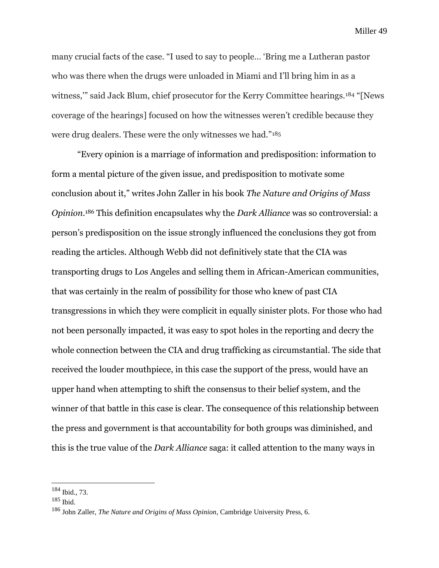many crucial facts of the case. "I used to say to people… 'Bring me a Lutheran pastor who was there when the drugs were unloaded in Miami and I'll bring him in as a witness," said Jack Blum, chief prosecutor for the Kerry Committee hearings.<sup>184</sup> "[News coverage of the hearings] focused on how the witnesses weren't credible because they were drug dealers. These were the only witnesses we had."<sup>185</sup>

"Every opinion is a marriage of information and predisposition: information to form a mental picture of the given issue, and predisposition to motivate some conclusion about it," writes John Zaller in his book *The Nature and Origins of Mass Opinion.*<sup>186</sup> This definition encapsulates why the *Dark Alliance* was so controversial: a person's predisposition on the issue strongly influenced the conclusions they got from reading the articles. Although Webb did not definitively state that the CIA was transporting drugs to Los Angeles and selling them in African-American communities, that was certainly in the realm of possibility for those who knew of past CIA transgressions in which they were complicit in equally sinister plots. For those who had not been personally impacted, it was easy to spot holes in the reporting and decry the whole connection between the CIA and drug trafficking as circumstantial. The side that received the louder mouthpiece, in this case the support of the press, would have an upper hand when attempting to shift the consensus to their belief system, and the winner of that battle in this case is clear. The consequence of this relationship between the press and government is that accountability for both groups was diminished, and this is the true value of the *Dark Alliance* saga: it called attention to the many ways in

<sup>184</sup> Ibid., 73.

<sup>185</sup> Ibid.

<sup>186</sup> John Zaller, *The Nature and Origins of Mass Opinion*, Cambridge University Press, 6.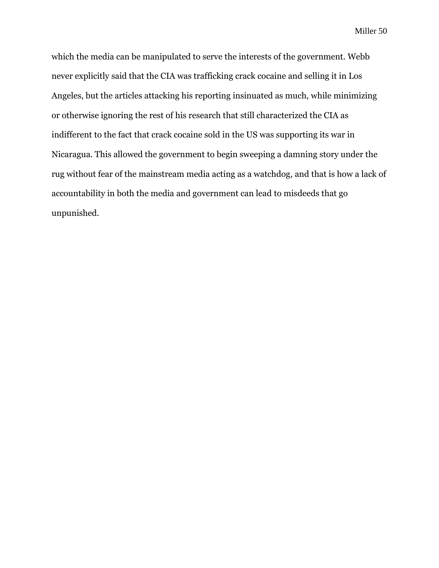which the media can be manipulated to serve the interests of the government. Webb never explicitly said that the CIA was trafficking crack cocaine and selling it in Los Angeles, but the articles attacking his reporting insinuated as much, while minimizing or otherwise ignoring the rest of his research that still characterized the CIA as indifferent to the fact that crack cocaine sold in the US was supporting its war in Nicaragua. This allowed the government to begin sweeping a damning story under the rug without fear of the mainstream media acting as a watchdog, and that is how a lack of accountability in both the media and government can lead to misdeeds that go unpunished.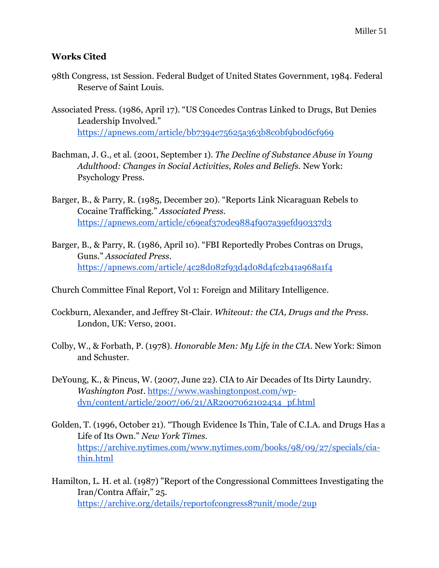## **Works Cited**

- 98th Congress, 1st Session. Federal Budget of United States Government, 1984. Federal Reserve of Saint Louis.
- Associated Press. (1986, April 17). "US Concedes Contras Linked to Drugs, But Denies Leadership Involved." <https://apnews.com/article/bb7394e75625a363b8c0bf9b0d6cf969>
- Bachman, J. G., et al. (2001, September 1). *The Decline of Substance Abuse in Young Adulthood: Changes in Social Activities, Roles and Beliefs.* New York: Psychology Press.
- Barger, B., & Parry, R. (1985, December 20). "Reports Link Nicaraguan Rebels to Cocaine Trafficking." *Associated Press*. <https://apnews.com/article/c69eaf370de9884f907a39efd90337d3>
- Barger, B., & Parry, R. (1986, April 10). "FBI Reportedly Probes Contras on Drugs, Guns." *Associated Press*. <https://apnews.com/article/4c28d082f93d4d08d4fc2b41a968a1f4>
- Church Committee Final Report, Vol 1: Foreign and Military Intelligence.
- Cockburn, Alexander, and Jeffrey St-Clair. *Whiteout: the CIA, Drugs and the Press*. London, UK: Verso, 2001.
- Colby, W., & Forbath, P. (1978). *Honorable Men: My Life in the CIA.* New York: Simon and Schuster.
- DeYoung, K., & Pincus, W. (2007, June 22). CIA to Air Decades of Its Dirty Laundry. *Washington Post*. [https://www.washingtonpost.com/wp](https://www.washingtonpost.com/wp-dyn/content/article/2007/06/21/AR2007062102434_pf.html)[dyn/content/article/2007/06/21/AR2007062102434\\_pf.html](https://www.washingtonpost.com/wp-dyn/content/article/2007/06/21/AR2007062102434_pf.html)
- Golden, T. (1996, October 21). "Though Evidence Is Thin, Tale of C.I.A. and Drugs Has a Life of Its Own." *New York Times.*  [https://archive.nytimes.com/www.nytimes.com/books/98/09/27/specials/cia](https://archive.nytimes.com/www.nytimes.com/books/98/09/27/specials/cia-thin.html)[thin.html](https://archive.nytimes.com/www.nytimes.com/books/98/09/27/specials/cia-thin.html)
- Hamilton, L. H. et al. (1987) "Report of the Congressional Committees Investigating the Iran/Contra Affair," 25. <https://archive.org/details/reportofcongress87unit/mode/2up>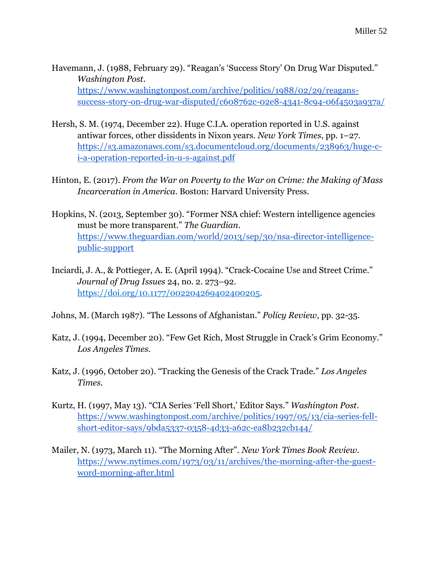- Havemann, J. (1988, February 29). "Reagan's 'Success Story' On Drug War Disputed." *Washington Post*. [https://www.washingtonpost.com/archive/politics/1988/02/29/reagans](https://www.washingtonpost.com/archive/politics/1988/02/29/reagans-success-story-on-drug-war-disputed/c608762c-02e8-4341-8c94-06f4503a937a/)[success-story-on-drug-war-disputed/c608762c-02e8-4341-8c94-06f4503a937a/](https://www.washingtonpost.com/archive/politics/1988/02/29/reagans-success-story-on-drug-war-disputed/c608762c-02e8-4341-8c94-06f4503a937a/)
- Hersh, S. M. (1974, December 22). Huge C.I.A. operation reported in U.S. against antiwar forces, other dissidents in Nixon years. *New York Times*, pp. 1–27. [https://s3.amazonaws.com/s3.documentcloud.org/documents/238963/huge-c](https://s3.amazonaws.com/s3.documentcloud.org/documents/238963/huge-c-i-a-operation-reported-in-u-s-against.pdf)[i-a-operation-reported-in-u-s-against.pdf](https://s3.amazonaws.com/s3.documentcloud.org/documents/238963/huge-c-i-a-operation-reported-in-u-s-against.pdf)
- Hinton, E. (2017). *From the War on Poverty to the War on Crime: the Making of Mass Incarceration in America*. Boston: Harvard University Press.
- Hopkins, N. (2013, September 30). "Former NSA chief: Western intelligence agencies must be more transparent." *The Guardian*. [https://www.theguardian.com/world/2013/sep/30/nsa-director-intelligence](https://www.theguardian.com/world/2013/sep/30/nsa-director-intelligence-public-support)[public-support](https://www.theguardian.com/world/2013/sep/30/nsa-director-intelligence-public-support)
- Inciardi, J. A., & Pottieger, A. E. (April 1994). "Crack-Cocaine Use and Street Crime." *Journal of Drug Issues* 24, no. 2. 273–92. [https://doi.org/10.1177/002204269402400205.](https://doi.org/10.1177/002204269402400205)
- Johns, M. (March 1987). "The Lessons of Afghanistan." *Policy Review*, pp. 32-35.
- Katz, J. (1994, December 20). "Few Get Rich, Most Struggle in Crack's Grim Economy." *Los Angeles Times.*
- Katz, J. (1996, October 20). "Tracking the Genesis of the Crack Trade." *Los Angeles Times.*
- Kurtz, H. (1997, May 13). "CIA Series 'Fell Short,' Editor Says." *Washington Post*. [https://www.washingtonpost.com/archive/politics/1997/05/13/cia-series-fell](https://www.washingtonpost.com/archive/politics/1997/05/13/cia-series-fell-short-editor-says/9bda5337-0358-4d33-a62c-ea8b232cb144/)[short-editor-says/9bda5337-0358-4d33-a62c-ea8b232cb144/](https://www.washingtonpost.com/archive/politics/1997/05/13/cia-series-fell-short-editor-says/9bda5337-0358-4d33-a62c-ea8b232cb144/)
- Mailer, N. (1973, March 11). "The Morning After". *New York Times Book Review*. [https://www.nytimes.com/1973/03/11/archives/the-morning-after-the-guest](https://www.nytimes.com/1973/03/11/archives/the-morning-after-the-guest-word-morning-after.html)[word-morning-after.html](https://www.nytimes.com/1973/03/11/archives/the-morning-after-the-guest-word-morning-after.html)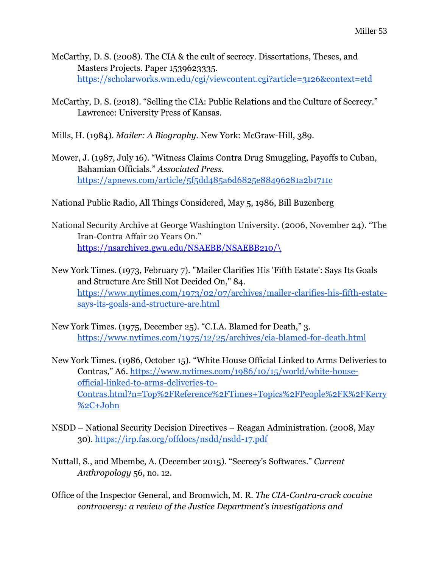- McCarthy, D. S. (2008). The CIA & the cult of secrecy. Dissertations, Theses, and Masters Projects. Paper 1539623335. <https://scholarworks.wm.edu/cgi/viewcontent.cgi?article=3126&context=etd>
- McCarthy, D. S. (2018). "Selling the CIA: Public Relations and the Culture of Secrecy." Lawrence: University Press of Kansas.
- Mills, H. (1984). *Mailer: A Biography.* New York: McGraw-Hill, 389.
- Mower, J. (1987, July 16). "Witness Claims Contra Drug Smuggling, Payoffs to Cuban, Bahamian Officials." *Associated Press.* <https://apnews.com/article/5f5dd485a6d6825e88496281a2b1711c>
- National Public Radio, All Things Considered, May 5, 1986, Bill Buzenberg
- National Security Archive at George Washington University. (2006, November 24). "The Iran-Contra Affair 20 Years On." [https://nsarchive2.gwu.edu/NSAEBB/NSAEBB210/\](https://nsarchive2.gwu.edu/NSAEBB/NSAEBB210/)
- New York Times. (1973, February 7). "Mailer Clarifies His 'Fifth Estate': Says Its Goals and Structure Are Still Not Decided On," 84. [https://www.nytimes.com/1973/02/07/archives/mailer-clarifies-his-fifth-estate](https://www.nytimes.com/1973/02/07/archives/mailer-clarifies-his-fifth-estate-says-its-goals-and-structure-are.html)[says-its-goals-and-structure-are.html](https://www.nytimes.com/1973/02/07/archives/mailer-clarifies-his-fifth-estate-says-its-goals-and-structure-are.html)
- New York Times. (1975, December 25). "C.I.A. Blamed for Death," 3. <https://www.nytimes.com/1975/12/25/archives/cia-blamed-for-death.html>
- New York Times. (1986, October 15). "White House Official Linked to Arms Deliveries to Contras," A6. [https://www.nytimes.com/1986/10/15/world/white-house](https://www.nytimes.com/1986/10/15/world/white-house-official-linked-to-arms-deliveries-to-contras.html?n=Top%2FReference%2FTimes+Topics%2FPeople%2FK%2FKerry%2C+John)[official-linked-to-arms-deliveries-to-](https://www.nytimes.com/1986/10/15/world/white-house-official-linked-to-arms-deliveries-to-contras.html?n=Top%2FReference%2FTimes+Topics%2FPeople%2FK%2FKerry%2C+John)[Contras.html?n=Top%2FReference%2FTimes+Topics%2FPeople%2FK%2FKerry](https://www.nytimes.com/1986/10/15/world/white-house-official-linked-to-arms-deliveries-to-contras.html?n=Top%2FReference%2FTimes+Topics%2FPeople%2FK%2FKerry%2C+John) [%2C+John](https://www.nytimes.com/1986/10/15/world/white-house-official-linked-to-arms-deliveries-to-contras.html?n=Top%2FReference%2FTimes+Topics%2FPeople%2FK%2FKerry%2C+John)
- NSDD National Security Decision Directives Reagan Administration. (2008, May 30).<https://irp.fas.org/offdocs/nsdd/nsdd-17.pdf>
- Nuttall, S., and Mbembe, A. (December 2015). "Secrecy's Softwares." *Current Anthropology* 56, no. 12.
- Office of the Inspector General, and Bromwich, M. R. *The CIA-Contra-crack cocaine controversy: a review of the Justice Department's investigations and*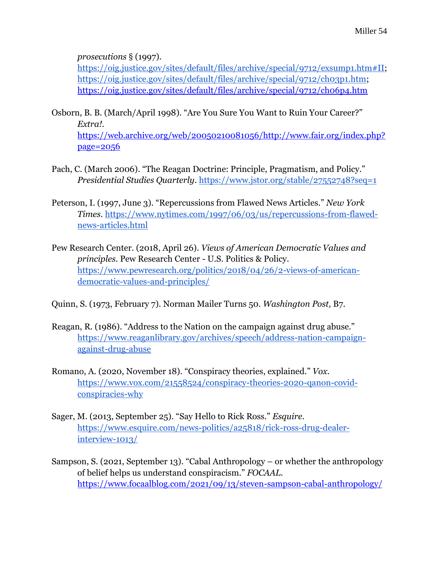*prosecutions* § (1997).

[https://oig.justice.gov/sites/default/files/archive/special/9712/exsump1.htm#II;](https://oig.justice.gov/sites/default/files/archive/special/9712/exsump1.htm#II) [https://oig.justice.gov/sites/default/files/archive/special/9712/ch03p1.htm;](https://oig.justice.gov/sites/default/files/archive/special/9712/ch03p1.htm) <https://oig.justice.gov/sites/default/files/archive/special/9712/ch06p4.htm>

- Osborn, B. B. (March/April 1998). "Are You Sure You Want to Ruin Your Career?" *Extra!.*  [https://web.archive.org/web/20050210081056/http://www.fair.org/index.php?](https://web.archive.org/web/20050210081056/http:/www.fair.org/index.php?page=2056) [page=2056](https://web.archive.org/web/20050210081056/http:/www.fair.org/index.php?page=2056)
- Pach, C. (March 2006). "The Reagan Doctrine: Principle, Pragmatism, and Policy." *Presidential Studies Quarterly*.<https://www.jstor.org/stable/27552748?seq=1>
- Peterson, I. (1997, June 3). "Repercussions from Flawed News Articles." *New York Times*. [https://www.nytimes.com/1997/06/03/us/repercussions-from-flawed](https://www.nytimes.com/1997/06/03/us/repercussions-from-flawed-news-articles.html)[news-articles.html](https://www.nytimes.com/1997/06/03/us/repercussions-from-flawed-news-articles.html)
- Pew Research Center. (2018, April 26). *Views of American Democratic Values and principles*. Pew Research Center - U.S. Politics & Policy. [https://www.pewresearch.org/politics/2018/04/26/2-views-of-american](https://www.pewresearch.org/politics/2018/04/26/2-views-of-american-democratic-values-and-principles/)[democratic-values-and-principles/](https://www.pewresearch.org/politics/2018/04/26/2-views-of-american-democratic-values-and-principles/)
- Quinn, S. (1973, February 7). Norman Mailer Turns 50. *Washington Post,* B7.
- Reagan, R. (1986). "Address to the Nation on the campaign against drug abuse." [https://www.reaganlibrary.gov/archives/speech/address-nation-campaign](https://www.reaganlibrary.gov/archives/speech/address-nation-campaign-against-drug-abuse)[against-drug-abuse](https://www.reaganlibrary.gov/archives/speech/address-nation-campaign-against-drug-abuse)
- Romano, A. (2020, November 18). "Conspiracy theories, explained." *Vox*. [https://www.vox.com/21558524/conspiracy-theories-2020-qanon-covid](https://www.vox.com/21558524/conspiracy-theories-2020-qanon-covid-conspiracies-why)[conspiracies-why](https://www.vox.com/21558524/conspiracy-theories-2020-qanon-covid-conspiracies-why)
- Sager, M. (2013, September 25). "Say Hello to Rick Ross." *Esquire.*  [https://www.esquire.com/news-politics/a25818/rick-ross-drug-dealer](https://www.esquire.com/news-politics/a25818/rick-ross-drug-dealer-interview-1013/)[interview-1013/](https://www.esquire.com/news-politics/a25818/rick-ross-drug-dealer-interview-1013/)
- Sampson, S. (2021, September 13). "Cabal Anthropology or whether the anthropology of belief helps us understand conspiracism." *FOCAAL.*  <https://www.focaalblog.com/2021/09/13/steven-sampson-cabal-anthropology/>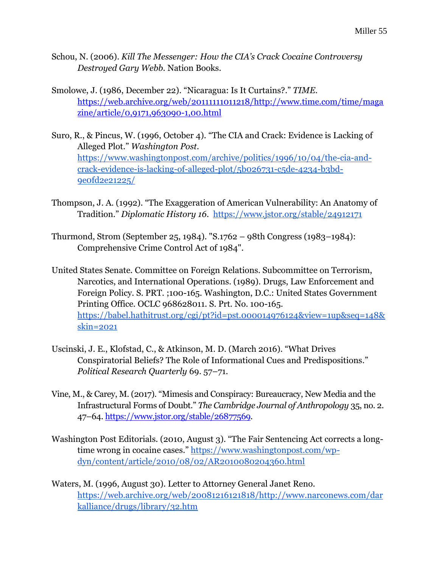- Schou, N. (2006). *Kill The Messenger: How the CIA's Crack Cocaine Controversy Destroyed Gary Webb.* Nation Books.
- Smolowe, J. (1986, December 22). "Nicaragua: Is It Curtains?." *TIME*. [https://web.archive.org/web/20111111011218/http://www.time.com/time/maga](https://web.archive.org/web/20111111011218/http:/www.time.com/time/magazine/article/0,9171,963090-1,00.html) [zine/article/0,9171,963090-1,00.html](https://web.archive.org/web/20111111011218/http:/www.time.com/time/magazine/article/0,9171,963090-1,00.html)
- Suro, R., & Pincus, W. (1996, October 4). "The CIA and Crack: Evidence is Lacking of Alleged Plot." *Washington Post.*  [https://www.washingtonpost.com/archive/politics/1996/10/04/the-cia-and](https://www.washingtonpost.com/archive/politics/1996/10/04/the-cia-and-crack-evidence-is-lacking-of-alleged-plot/5b026731-c5de-4234-b3bd-9e0fd2e21225/)[crack-evidence-is-lacking-of-alleged-plot/5b026731-c5de-4234-b3bd-](https://www.washingtonpost.com/archive/politics/1996/10/04/the-cia-and-crack-evidence-is-lacking-of-alleged-plot/5b026731-c5de-4234-b3bd-9e0fd2e21225/)[9e0fd2e21225/](https://www.washingtonpost.com/archive/politics/1996/10/04/the-cia-and-crack-evidence-is-lacking-of-alleged-plot/5b026731-c5de-4234-b3bd-9e0fd2e21225/)
- Thompson, J. A. (1992). "The Exaggeration of American Vulnerability: An Anatomy of Tradition." *Diplomatic History 16*. <https://www.jstor.org/stable/24912171>
- Thurmond, Strom (September 25, 1984). "S.1762 98th Congress (1983–1984): Comprehensive Crime Control Act of 1984".
- United States Senate. Committee on Foreign Relations. Subcommittee on Terrorism, Narcotics, and International Operations. (1989). Drugs, Law Enforcement and Foreign Policy. S. PRT. ;100-165. Washington, D.C.: United States Government Printing Office. OCLC 968628011. S. Prt. No. 100-165. [https://babel.hathitrust.org/cgi/pt?id=pst.000014976124&view=1up&seq=148&](https://babel.hathitrust.org/cgi/pt?id=pst.000014976124&view=1up&seq=148&skin=2021) [skin=2021](https://babel.hathitrust.org/cgi/pt?id=pst.000014976124&view=1up&seq=148&skin=2021)
- Uscinski, J. E., Klofstad, C., & Atkinson, M. D. (March 2016). "What Drives Conspiratorial Beliefs? The Role of Informational Cues and Predispositions." *Political Research Quarterly* 69. 57–71.
- Vine, M., & Carey, M. (2017). "Mimesis and Conspiracy: Bureaucracy, New Media and the Infrastructural Forms of Doubt." *The Cambridge Journal of Anthropology* 35, no. 2. 47–64[. https://www.jstor.org/stable/26877569.](https://www.jstor.org/stable/26877569)
- Washington Post Editorials. (2010, August 3). "The Fair Sentencing Act corrects a longtime wrong in cocaine cases." [https://www.washingtonpost.com/wp](https://www.washingtonpost.com/wp-dyn/content/article/2010/08/02/AR2010080204360.html)[dyn/content/article/2010/08/02/AR2010080204360.html](https://www.washingtonpost.com/wp-dyn/content/article/2010/08/02/AR2010080204360.html)
- Waters, M. (1996, August 30). Letter to Attorney General Janet Reno. [https://web.archive.org/web/20081216121818/http://www.narconews.com/dar](https://web.archive.org/web/20081216121818/http:/www.narconews.com/darkalliance/drugs/library/32.htm) [kalliance/drugs/library/32.htm](https://web.archive.org/web/20081216121818/http:/www.narconews.com/darkalliance/drugs/library/32.htm)